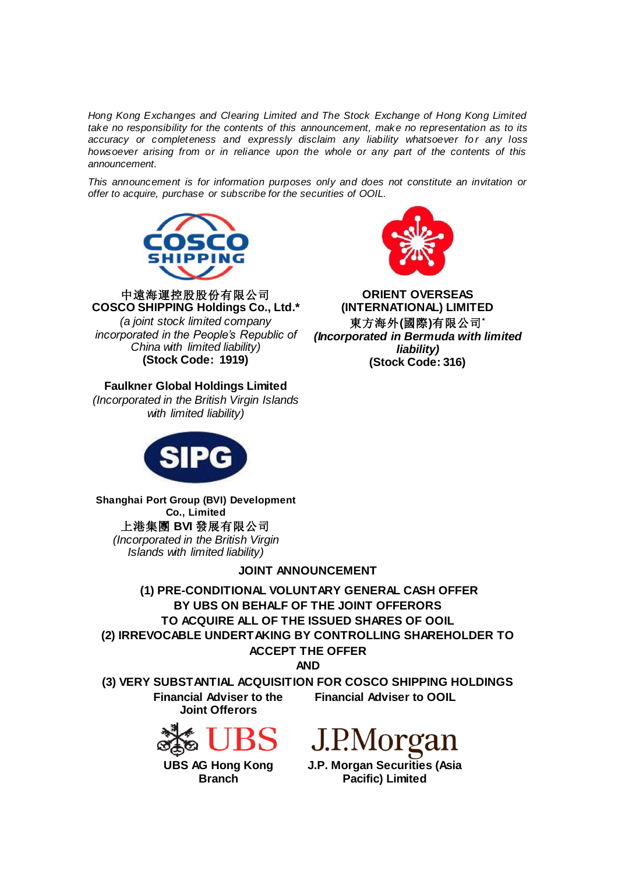*Hong Kong Exchanges and Clearing Limited and The Stock Exchange of Hong Kong Limited take no responsibility for the contents of this announcement, make no representation as to its accuracy or completeness and expressly disclaim any liability whatsoever for any loss howsoever arising from or in reliance upon the whole or any part of the contents of this announcement.*

*This announcement is for information purposes only and does not constitute an invitation or offer to acquire, purchase or subscribe for the securities of OOIL.*



中遠海運控股股份有限公司 **COSCO SHIPPING Holdings Co., Ltd.\*** *(a joint stock limited company incorporated in the People's Republic of China with limited liability)* **(Stock Code: 1919)**

# **Faulkner Global Holdings Limited**

*(Incorporated in the British Virgin Islands with limited liability)*



**Shanghai Port Group (BVI) Development Co., Limited** 上港集團 **BVI** 發展有限公司 *(Incorporated in the British Virgin Islands with limited liability)*

# **JOINT ANNOUNCEMENT**

**(1) PRE-CONDITIONAL VOLUNTARY GENERAL CASH OFFER BY UBS ON BEHALF OF THE JOINT OFFERORS TO ACQUIRE ALL OF THE ISSUED SHARES OF OOIL (2) IRREVOCABLE UNDERTAKING BY CONTROLLING SHAREHOLDER TO ACCEPT THE OFFER**

**AND**

**(3) VERY SUBSTANTIAL ACQUISITION FOR COSCO SHIPPING HOLDINGS Financial Adviser to the Joint Offerors Financial Adviser to OOIL**



**UBS AG Hong Kong Branch**



**J.P. Morgan Securities (Asia Pacific) Limited**



**ORIENT OVERSEAS (INTERNATIONAL) LIMITED** 東方海外**(**國際**)**有限公司**\*** *(Incorporated in Bermuda with limited liability)* **(Stock Code: 316)**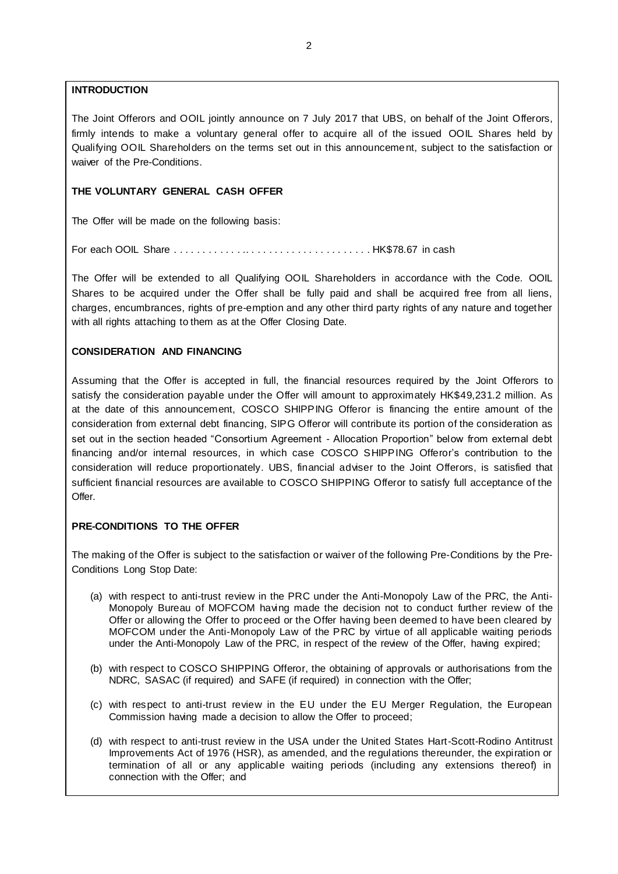# **INTRODUCTION**

The Joint Offerors and OOIL jointly announce on 7 July 2017 that UBS, on behalf of the Joint Offerors, firmly intends to make a voluntary general offer to acquire all of the issued OOIL Shares held by Qualifying OOIL Shareholders on the terms set out in this announcement, subject to the satisfaction or waiver of the Pre-Conditions.

# **THE VOLUNTARY GENERAL CASH OFFER**

The Offer will be made on the following basis:

For each OOIL Share . . . . . . . . . . . . .. . . . . . . . . . . . . . . . . . . . . . HK\$78.67 in cash

The Offer will be extended to all Qualifying OOIL Shareholders in accordance with the Code. OOIL Shares to be acquired under the Offer shall be fully paid and shall be acquired free from all liens, charges, encumbrances, rights of pre-emption and any other third party rights of any nature and together with all rights attaching to them as at the Offer Closing Date.

# **CONSIDERATION AND FINANCING**

Assuming that the Offer is accepted in full, the financial resources required by the Joint Offerors to satisfy the consideration payable under the Offer will amount to approximately HK\$49,231.2 million. As at the date of this announcement, COSCO SHIPPING Offeror is financing the entire amount of the consideration from external debt financing, SIPG Offeror will contribute its portion of the consideration as set out in the section headed "Consortium Agreement - Allocation Proportion" below from external debt financing and/or internal resources, in which case COSCO SHIPPING Offeror's contribution to the consideration will reduce proportionately. UBS, financial adviser to the Joint Offerors, is satisfied that sufficient financial resources are available to COSCO SHIPPING Offeror to satisfy full acceptance of the Offer.

# **PRE-CONDITIONS TO THE OFFER**

The making of the Offer is subject to the satisfaction or waiver of the following Pre-Conditions by the Pre-Conditions Long Stop Date:

- (a) with respect to anti-trust review in the PRC under the Anti-Monopoly Law of the PRC, the Anti-Monopoly Bureau of MOFCOM having made the decision not to conduct further review of the Offer or allowing the Offer to proceed or the Offer having been deemed to have been cleared by MOFCOM under the Anti-Monopoly Law of the PRC by virtue of all applicable waiting periods under the Anti-Monopoly Law of the PRC, in respect of the review of the Offer, having expired;
- (b) with respect to COSCO SHIPPING Offeror, the obtaining of approvals or authorisations from the NDRC, SASAC (if required) and SAFE (if required) in connection with the Offer;
- (c) with respect to anti-trust review in the EU under the EU Merger Regulation, the European Commission having made a decision to allow the Offer to proceed;
- (d) with respect to anti-trust review in the USA under the United States Hart-Scott-Rodino Antitrust Improvements Act of 1976 (HSR), as amended, and the regulations thereunder, the expiration or termination of all or any applicable waiting periods (including any extensions thereof) in connection with the Offer; and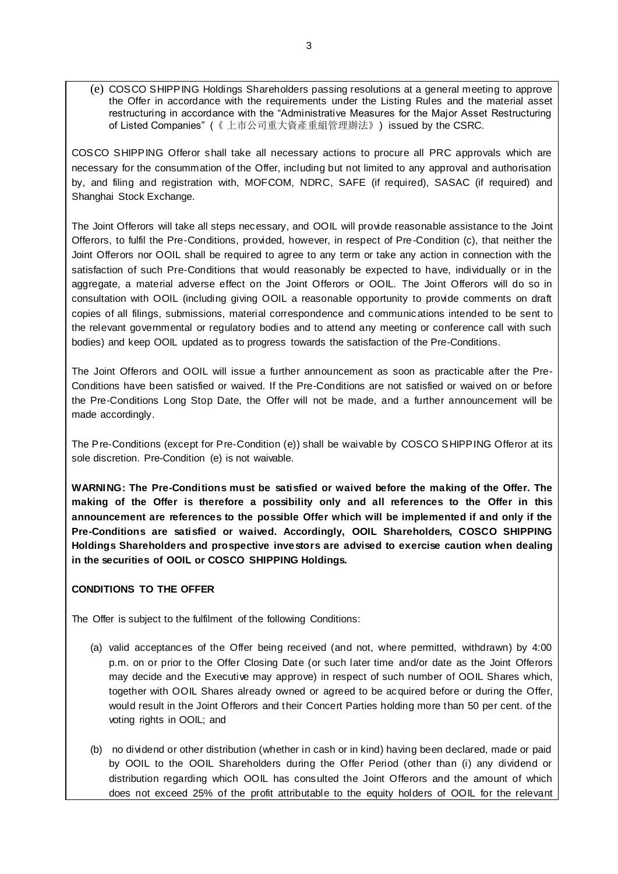(e) COSCO SHIPPING Holdings Shareholders passing resolutions at a general meeting to approve the Offer in accordance with the requirements under the Listing Rules and the material asset restructuring in accordance with the "Administrative Measures for the Major Asset Restructuring of Listed Companies" (《 上市公司重大資產重組管理辦法》) issued by the CSRC.

COSCO SHIPPING Offeror shall take all necessary actions to procure all PRC approvals which are necessary for the consummation of the Offer, including but not limited to any approval and authorisation by, and filing and registration with, MOFCOM, NDRC, SAFE (if required), SASAC (if required) and Shanghai Stock Exchange.

The Joint Offerors will take all steps necessary, and OOIL will provide reasonable assistance to the Joint Offerors, to fulfil the Pre-Conditions, provided, however, in respect of Pre-Condition (c), that neither the Joint Offerors nor OOIL shall be required to agree to any term or take any action in connection with the satisfaction of such Pre-Conditions that would reasonably be expected to have, individually or in the aggregate, a material adverse effect on the Joint Offerors or OOIL. The Joint Offerors will do so in consultation with OOIL (including giving OOIL a reasonable opportunity to provide comments on draft copies of all filings, submissions, material correspondence and communications intended to be sent to the relevant governmental or regulatory bodies and to attend any meeting or conference call with such bodies) and keep OOIL updated as to progress towards the satisfaction of the Pre-Conditions.

The Joint Offerors and OOIL will issue a further announcement as soon as practicable after the Pre-Conditions have been satisfied or waived. If the Pre-Conditions are not satisfied or waived on or before the Pre-Conditions Long Stop Date, the Offer will not be made, and a further announcement will be made accordingly.

The Pre-Conditions (except for Pre-Condition (e)) shall be waivable by COSCO SHIPPING Offeror at its sole discretion. Pre-Condition (e) is not waivable.

**WARNING: The Pre-Conditions must be satisfied or waived before the making of the Offer. The making of the Offer is therefore a possibility only and all references to the Offer in this announcement are references to the possible Offer which will be implemented if and only if the Pre-Conditions are satisfied or waived. Accordingly, OOIL Shareholders, COSCO SHIPPING Holdings Shareholders and prospective investors are advised to exercise caution when dealing in the securities of OOIL or COSCO SHIPPING Holdings.**

# **CONDITIONS TO THE OFFER**

The Offer is subject to the fulfilment of the following Conditions:

- (a) valid acceptances of the Offer being received (and not, where permitted, withdrawn) by 4:00 p.m. on or prior to the Offer Closing Date (or such later time and/or date as the Joint Offerors may decide and the Executive may approve) in respect of such number of OOIL Shares which, together with OOIL Shares already owned or agreed to be acquired before or during the Offer, would result in the Joint Offerors and their Concert Parties holding more than 50 per cent. of the voting rights in OOIL; and
- (b) no dividend or other distribution (whether in cash or in kind) having been declared, made or paid by OOIL to the OOIL Shareholders during the Offer Period (other than (i) any dividend or distribution regarding which OOIL has consulted the Joint Offerors and the amount of which does not exceed 25% of the profit attributable to the equity holders of OOIL for the relevant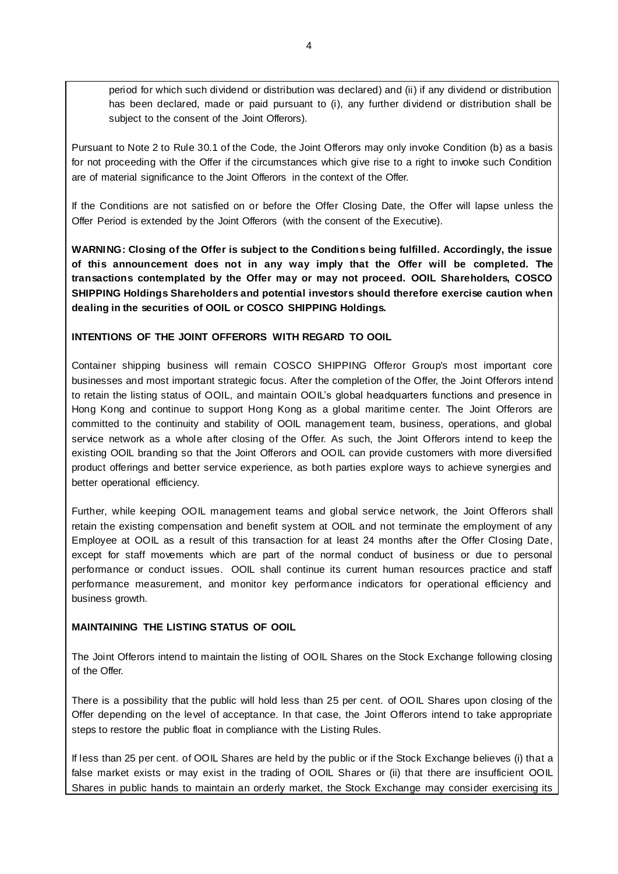period for which such dividend or distribution was declared) and (ii) if any dividend or distribution has been declared, made or paid pursuant to (i), any further dividend or distribution shall be subject to the consent of the Joint Offerors).

Pursuant to Note 2 to Rule 30.1 of the Code, the Joint Offerors may only invoke Condition (b) as a basis for not proceeding with the Offer if the circumstances which give rise to a right to invoke such Condition are of material significance to the Joint Offerors in the context of the Offer.

If the Conditions are not satisfied on or before the Offer Closing Date, the Offer will lapse unless the Offer Period is extended by the Joint Offerors (with the consent of the Executive).

**WARNING: Closing of the Offer is subject to the Conditions being fulfilled. Accordingly, the issue of this announcement does not in any way imply that the Offer will be completed. The transactions contemplated by the Offer may or may not proceed. OOIL Shareholders, COSCO SHIPPING Holdings Shareholders and potential investors should therefore exercise caution when dealing in the securities of OOIL or COSCO SHIPPING Holdings.** 

# **INTENTIONS OF THE JOINT OFFERORS WITH REGARD TO OOIL**

Container shipping business will remain COSCO SHIPPING Offeror Group's most important core businesses and most important strategic focus. After the completion of the Offer, the Joint Offerors intend to retain the listing status of OOIL, and maintain OOIL's global headquarters functions and presence in Hong Kong and continue to support Hong Kong as a global maritime center. The Joint Offerors are committed to the continuity and stability of OOIL management team, business, operations, and global service network as a whole after closing of the Offer. As such, the Joint Offerors intend to keep the existing OOIL branding so that the Joint Offerors and OOIL can provide customers with more diversified product offerings and better service experience, as both parties explore ways to achieve synergies and better operational efficiency.

Further, while keeping OOIL management teams and global service network, the Joint Offerors shall retain the existing compensation and benefit system at OOIL and not terminate the employment of any Employee at OOIL as a result of this transaction for at least 24 months after the Offer Closing Date, except for staff movements which are part of the normal conduct of business or due to personal performance or conduct issues. OOIL shall continue its current human resources practice and staff performance measurement, and monitor key performance indicators for operational efficiency and business growth.

### **MAINTAINING THE LISTING STATUS OF OOIL**

The Joint Offerors intend to maintain the listing of OOIL Shares on the Stock Exchange following closing of the Offer.

There is a possibility that the public will hold less than 25 per cent. of OOIL Shares upon closing of the Offer depending on the level of acceptance. In that case, the Joint Offerors intend to take appropriate steps to restore the public float in compliance with the Listing Rules.

If less than 25 per cent. of OOIL Shares are held by the public or if the Stock Exchange believes (i) that a false market exists or may exist in the trading of OOIL Shares or (ii) that there are insufficient OOIL Shares in public hands to maintain an orderly market, the Stock Exchange may consider exercising its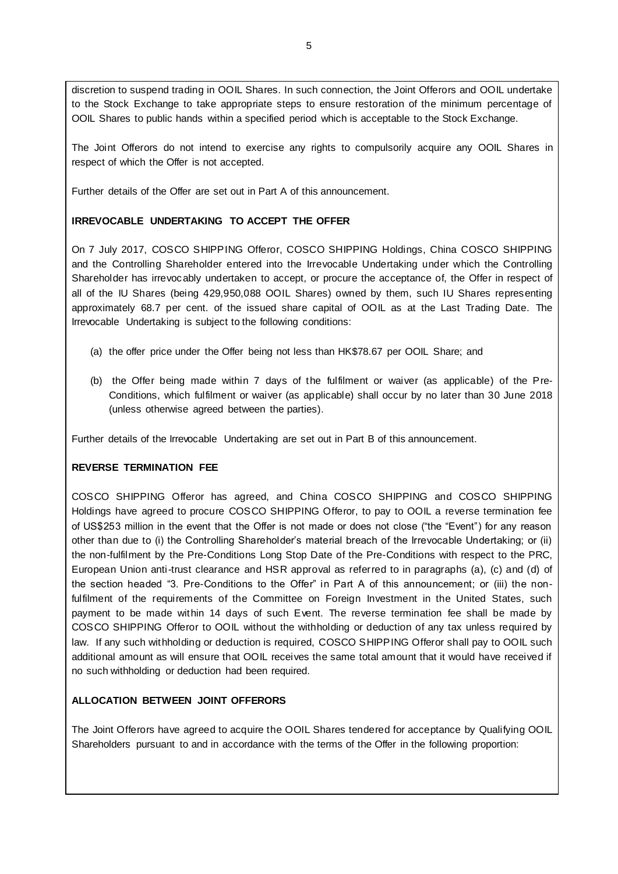discretion to suspend trading in OOIL Shares. In such connection, the Joint Offerors and OOIL undertake to the Stock Exchange to take appropriate steps to ensure restoration of the minimum percentage of OOIL Shares to public hands within a specified period which is acceptable to the Stock Exchange.

The Joint Offerors do not intend to exercise any rights to compulsorily acquire any OOIL Shares in respect of which the Offer is not accepted.

Further details of the Offer are set out in Part A of this announcement.

### **IRREVOCABLE UNDERTAKING TO ACCEPT THE OFFER**

On 7 July 2017, COSCO SHIPPING Offeror, COSCO SHIPPING Holdings, China COSCO SHIPPING and the Controlling Shareholder entered into the Irrevocable Undertaking under which the Controlling Shareholder has irrevocably undertaken to accept, or procure the acceptance of, the Offer in respect of all of the IU Shares (being 429,950,088 OOIL Shares) owned by them, such IU Shares representing approximately 68.7 per cent. of the issued share capital of OOIL as at the Last Trading Date. The Irrevocable Undertaking is subject to the following conditions:

- (a) the offer price under the Offer being not less than HK\$78.67 per OOIL Share; and
- (b) the Offer being made within 7 days of the fulfilment or waiver (as applicable) of the Pre-Conditions, which fulfilment or waiver (as applicable) shall occur by no later than 30 June 2018 (unless otherwise agreed between the parties).

Further details of the Irrevocable Undertaking are set out in Part B of this announcement.

# **REVERSE TERMINATION FEE**

COSCO SHIPPING Offeror has agreed, and China COSCO SHIPPING and COSCO SHIPPING Holdings have agreed to procure COSCO SHIPPING Offeror, to pay to OOIL a reverse termination fee of US\$253 million in the event that the Offer is not made or does not close ("the "Event") for any reason other than due to (i) the Controlling Shareholder's material breach of the Irrevocable Undertaking; or (ii) the non-fulfilment by the Pre-Conditions Long Stop Date of the Pre-Conditions with respect to the PRC, European Union anti-trust clearance and HSR approval as referred to in paragraphs (a), (c) and (d) of the section headed "3. Pre-Conditions to the Offer" in Part A of this announcement; or (iii) the nonfulfilment of the requirements of the Committee on Foreign Investment in the United States, such payment to be made within 14 days of such Event. The reverse termination fee shall be made by COSCO SHIPPING Offeror to OOIL without the withholding or deduction of any tax unless required by law. If any such withholding or deduction is required, COSCO SHIPPING Offeror shall pay to OOIL such additional amount as will ensure that OOIL receives the same total amount that it would have received if no such withholding or deduction had been required.

# **ALLOCATION BETWEEN JOINT OFFERORS**

The Joint Offerors have agreed to acquire the OOIL Shares tendered for acceptance by Qualifying OOIL Shareholders pursuant to and in accordance with the terms of the Offer in the following proportion: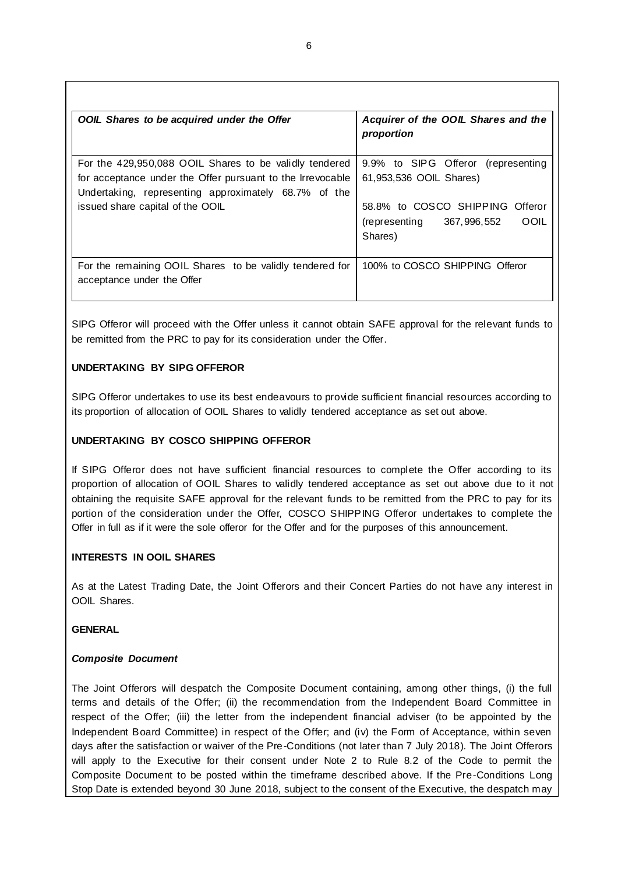| OOIL Shares to be acquired under the Offer                                                                                                                                                                       | Acquirer of the OOIL Shares and the<br>proportion                                                                                                     |
|------------------------------------------------------------------------------------------------------------------------------------------------------------------------------------------------------------------|-------------------------------------------------------------------------------------------------------------------------------------------------------|
| For the 429,950,088 OOIL Shares to be validly tendered<br>for acceptance under the Offer pursuant to the Irrevocable<br>Undertaking, representing approximately 68.7% of the<br>issued share capital of the OOIL | 9.9% to SIPG Offeror (representing<br>61,953,536 OOIL Shares)<br>58.8% to COSCO SHIPPING Offeror<br>OOIL<br>367, 996, 552<br>(representing<br>Shares) |
| For the remaining OOIL Shares to be validly tendered for<br>acceptance under the Offer                                                                                                                           | 100% to COSCO SHIPPING Offeror                                                                                                                        |

SIPG Offeror will proceed with the Offer unless it cannot obtain SAFE approval for the relevant funds to be remitted from the PRC to pay for its consideration under the Offer.

# **UNDERTAKING BY SIPG OFFEROR**

SIPG Offeror undertakes to use its best endeavours to provide sufficient financial resources according to its proportion of allocation of OOIL Shares to validly tendered acceptance as set out above.

# **UNDERTAKING BY COSCO SHIPPING OFFEROR**

If SIPG Offeror does not have sufficient financial resources to complete the Offer according to its proportion of allocation of OOIL Shares to validly tendered acceptance as set out above due to it not obtaining the requisite SAFE approval for the relevant funds to be remitted from the PRC to pay for its portion of the consideration under the Offer, COSCO SHIPPING Offeror undertakes to complete the Offer in full as if it were the sole offeror for the Offer and for the purposes of this announcement.

# **INTERESTS IN OOIL SHARES**

As at the Latest Trading Date, the Joint Offerors and their Concert Parties do not have any interest in OOIL Shares.

# **GENERAL**

# *Composite Document*

The Joint Offerors will despatch the Composite Document containing, among other things, (i) the full terms and details of the Offer; (ii) the recommendation from the Independent Board Committee in respect of the Offer; (iii) the letter from the independent financial adviser (to be appointed by the Independent Board Committee) in respect of the Offer; and (iv) the Form of Acceptance, within seven days after the satisfaction or waiver of the Pre-Conditions (not later than 7 July 2018). The Joint Offerors will apply to the Executive for their consent under Note 2 to Rule 8.2 of the Code to permit the Composite Document to be posted within the timeframe described above. If the Pre-Conditions Long Stop Date is extended beyond 30 June 2018, subject to the consent of the Executive, the despatch may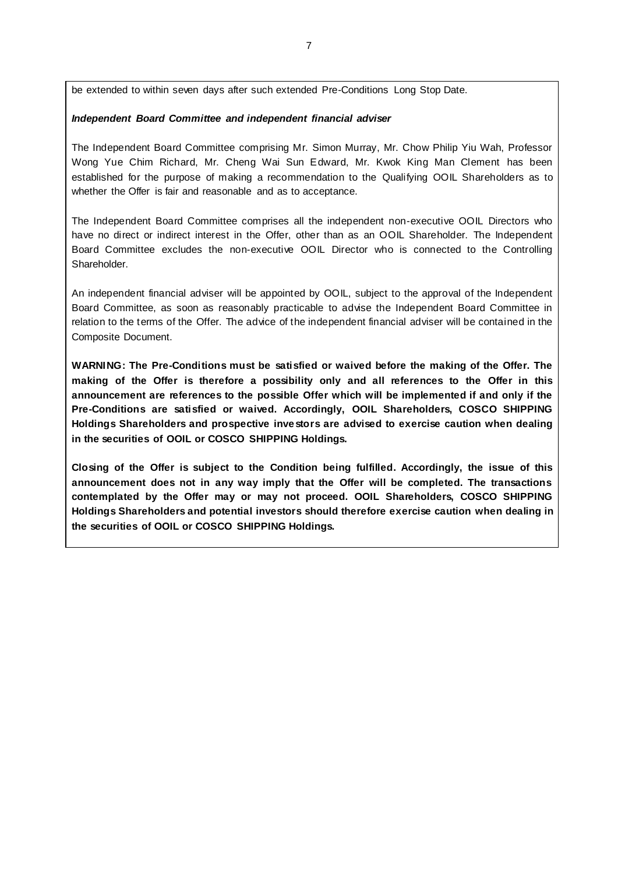be extended to within seven days after such extended Pre-Conditions Long Stop Date.

### *Independent Board Committee and independent financial adviser*

The Independent Board Committee comprising Mr. Simon Murray, Mr. Chow Philip Yiu Wah, Professor Wong Yue Chim Richard, Mr. Cheng Wai Sun Edward, Mr. Kwok King Man Clement has been established for the purpose of making a recommendation to the Qualifying OOIL Shareholders as to whether the Offer is fair and reasonable and as to acceptance.

The Independent Board Committee comprises all the independent non-executive OOIL Directors who have no direct or indirect interest in the Offer, other than as an OOIL Shareholder. The Independent Board Committee excludes the non-executive OOIL Director who is connected to the Controlling Shareholder.

An independent financial adviser will be appointed by OOIL, subject to the approval of the Independent Board Committee, as soon as reasonably practicable to advise the Independent Board Committee in relation to the terms of the Offer. The advice of the independent financial adviser will be contained in the Composite Document.

**WARNING: The Pre-Conditions must be satisfied or waived before the making of the Offer. The making of the Offer is therefore a possibility only and all references to the Offer in this announcement are references to the possible Offer which will be implemented if and only if the Pre-Conditions are satisfied or waived. Accordingly, OOIL Shareholders, COSCO SHIPPING Holdings Shareholders and prospective investors are advised to exercise caution when dealing in the securities of OOIL or COSCO SHIPPING Holdings.**

**Closing of the Offer is subject to the Condition being fulfilled. Accordingly, the issue of this announcement does not in any way imply that the Offer will be completed. The transactions contemplated by the Offer may or may not proceed. OOIL Shareholders, COSCO SHIPPING Holdings Shareholders and potential investors should therefore exercise caution when dealing in the securities of OOIL or COSCO SHIPPING Holdings.**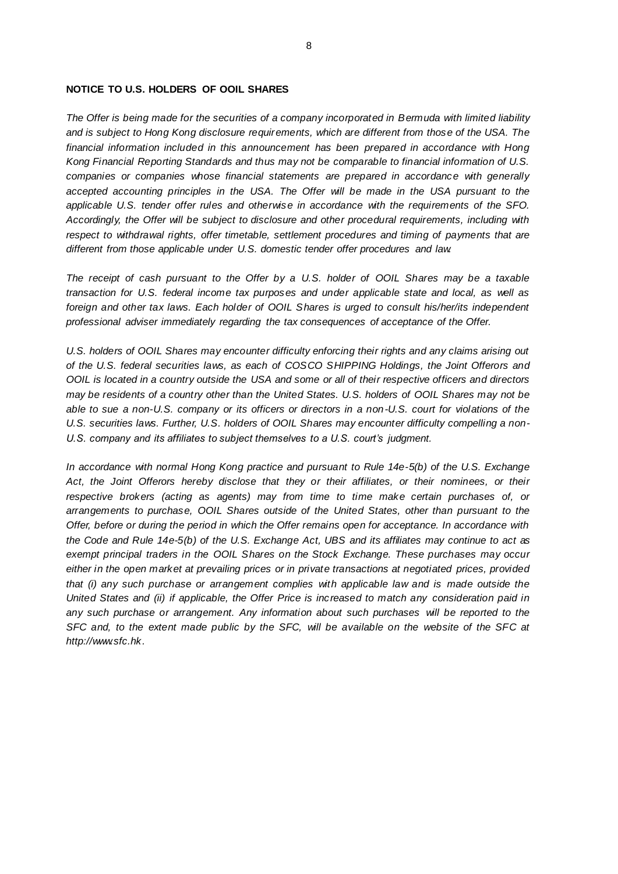### **NOTICE TO U.S. HOLDERS OF OOIL SHARES**

*The Offer is being made for the securities of a company incorporated in Bermuda with limited liability and is subject to Hong Kong disclosure requirements, which are different from those of the USA. The financial information included in this announcement has been prepared in accordance with Hong Kong Financial Reporting Standards and thus may not be comparable to financial information of U.S. companies or companies whose financial statements are prepared in accordance with generally accepted accounting principles in the USA. The Offer will be made in the USA pursuant to the applicable U.S. tender offer rules and otherwise in accordance with the requirements of the SFO. Accordingly, the Offer will be subject to disclosure and other procedural requirements, including with respect to withdrawal rights, offer timetable, settlement procedures and timing of payments that are different from those applicable under U.S. domestic tender offer procedures and law.*

*The receipt of cash pursuant to the Offer by a U.S. holder of OOIL Shares may be a taxable transaction for U.S. federal income tax purposes and under applicable state and local, as well as foreign and other tax laws. Each holder of OOIL Shares is urged to consult his/her/its independent professional adviser immediately regarding the tax consequences of acceptance of the Offer.*

*U.S. holders of OOIL Shares may encounter difficulty enforcing their rights and any claims arising out of the U.S. federal securities laws, as each of COSCO SHIPPING Holdings, the Joint Offerors and OOIL is located in a country outside the USA and some or all of their respective officers and directors may be residents of a country other than the United States. U.S. holders of OOIL Shares may not be able to sue a non-U.S. company or its officers or directors in a non-U.S. court for violations of the*  U.S. securities laws. Further, U.S. holders of OOIL Shares may encounter difficulty compelling a non-*U.S. company and its affiliates to subject themselves to a U.S. court's judgment.*

*In accordance with normal Hong Kong practice and pursuant to Rule 14e-5(b) of the U.S. Exchange Act, the Joint Offerors hereby disclose that they or their affiliates, or their nominees, or their respective brokers (acting as agents) may from time to time make certain purchases of, or arrangements to purchase, OOIL Shares outside of the United States, other than pursuant to the Offer, before or during the period in which the Offer remains open for acceptance. In accordance with the Code and Rule 14e-5(b) of the U.S. Exchange Act, UBS and its affiliates may continue to act as exempt principal traders in the OOIL Shares on the Stock Exchange. These purchases may occur either in the open market at prevailing prices or in private transactions at negotiated prices, provided that (i) any such purchase or arrangement complies with applicable law and is made outside the United States and (ii) if applicable, the Offer Price is increased to match any consideration paid in any such purchase or arrangement. Any information about such purchases will be reported to the SFC and, to the extent made public by the SFC, will be available on the website of the SFC at http://www.sfc.hk.*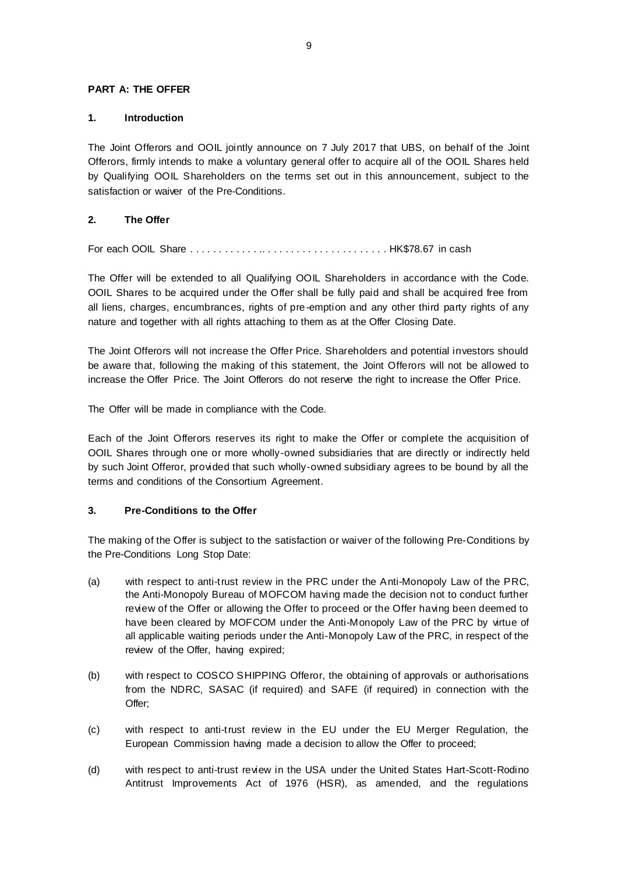### **PART A: THE OFFER**

### **1. Introduction**

The Joint Offerors and OOIL jointly announce on 7 July 2017 that UBS, on behalf of the Joint Offerors, firmly intends to make a voluntary general offer to acquire all of the OOIL Shares held by Qualifying OOIL Shareholders on the terms set out in this announcement, subject to the satisfaction or waiver of the Pre-Conditions.

# **2. The Offer**

For each OOIL Share . . . . . . . . . . . . .. . . . . . . . . . . . . . . . . . . . . . HK\$78.67 in cash

The Offer will be extended to all Qualifying OOIL Shareholders in accordance with the Code. OOIL Shares to be acquired under the Offer shall be fully paid and shall be acquired free from all liens, charges, encumbrances, rights of pre-emption and any other third party rights of any nature and together with all rights attaching to them as at the Offer Closing Date.

The Joint Offerors will not increase the Offer Price. Shareholders and potential investors should be aware that, following the making of this statement, the Joint Offerors will not be allowed to increase the Offer Price. The Joint Offerors do not reserve the right to increase the Offer Price.

The Offer will be made in compliance with the Code.

Each of the Joint Offerors reserves its right to make the Offer or complete the acquisition of OOIL Shares through one or more wholly-owned subsidiaries that are directly or indirectly held by such Joint Offeror, provided that such wholly-owned subsidiary agrees to be bound by all the terms and conditions of the Consortium Agreement.

# **3. Pre-Conditions to the Offer**

The making of the Offer is subject to the satisfaction or waiver of the following Pre-Conditions by the Pre-Conditions Long Stop Date:

- <span id="page-8-0"></span>(a) with respect to anti-trust review in the PRC under the Anti-Monopoly Law of the PRC, the Anti-Monopoly Bureau of MOFCOM having made the decision not to conduct further review of the Offer or allowing the Offer to proceed or the Offer having been deemed to have been cleared by MOFCOM under the Anti-Monopoly Law of the PRC by virtue of all applicable waiting periods under the Anti-Monopoly Law of the PRC, in respect of the review of the Offer, having expired;
- (b) with respect to COSCO SHIPPING Offeror, the obtaining of approvals or authorisations from the NDRC, SASAC (if required) and SAFE (if required) in connection with the Offer;
- (c) with respect to anti-trust review in the EU under the EU Merger Regulation, the European Commission having made a decision to allow the Offer to proceed;
- (d) with respect to anti-trust review in the USA under the United States Hart-Scott-Rodino Antitrust Improvements Act of 1976 (HSR), as amended, and the regulations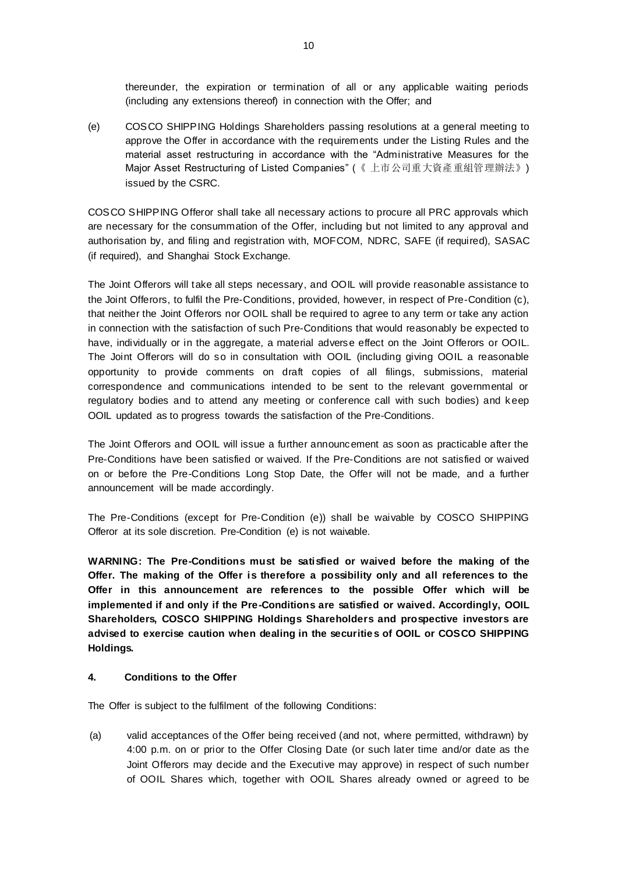thereunder, the expiration or termination of all or any applicable waiting periods (including any extensions thereof) in connection with the Offer; and

<span id="page-9-0"></span>(e) COSCO SHIPPING Holdings Shareholders passing resolutions at a general meeting to approve the Offer in accordance with the requirements under the Listing Rules and the material asset restructuring in accordance with the "Administrative Measures for the Major Asset Restructuring of Listed Companies" (《 上市公司重大資產重組管理辦法》) issued by the CSRC.

COSCO SHIPPING Offeror shall take all necessary actions to procure all PRC approvals which are necessary for the consummation of the Offer, including but not limited to any approval and authorisation by, and filing and registration with, MOFCOM, NDRC, SAFE (if required), SASAC (if required), and Shanghai Stock Exchange.

The Joint Offerors will take all steps necessary, and OOIL will provide reasonable assistance to the Joint Offerors, to fulfil the Pre-Conditions, provided, however, in respect of Pre-Condition (c), that neither the Joint Offerors nor OOIL shall be required to agree to any term or take any action in connection with the satisfaction of such Pre-Conditions that would reasonably be expected to have, individually or in the aggregate, a material adverse effect on the Joint Offerors or OOIL. The Joint Offerors will do so in consultation with OOIL (including giving OOIL a reasonable opportunity to provide comments on draft copies of all filings, submissions, material correspondence and communications intended to be sent to the relevant governmental or regulatory bodies and to attend any meeting or conference call with such bodies) and k eep OOIL updated as to progress towards the satisfaction of the Pre-Conditions.

The Joint Offerors and OOIL will issue a further announcement as soon as practicable after the Pre-Conditions have been satisfied or waived. If the Pre-Conditions are not satisfied or waived on or before the Pre-Conditions Long Stop Date, the Offer will not be made, and a further announcement will be made accordingly.

The Pre-Conditions (except for Pre-Condition (e)) shall be waivable by COSCO SHIPPING Offeror at its sole discretion. Pre-Condition (e) is not waivable.

**WARNING: The Pre-Conditions must be satisfied or waived before the making of the Offer. The making of the Offer is therefore a possibility only and all references to the Offer in this announcement are references to the possible Offer which will be implemented if and only if the Pre-Conditions are satisfied or waived. Accordingly, OOIL Shareholders, COSCO SHIPPING Holdings Shareholders and prospective investors are advised to exercise caution when dealing in the securities of OOIL or COSCO SHIPPING Holdings.**

# **4. Conditions to the Offer**

The Offer is subject to the fulfilment of the following Conditions:

(a) valid acceptances of the Offer being received (and not, where permitted, withdrawn) by 4:00 p.m. on or prior to the Offer Closing Date (or such later time and/or date as the Joint Offerors may decide and the Executive may approve) in respect of such number of OOIL Shares which, together with OOIL Shares already owned or agreed to be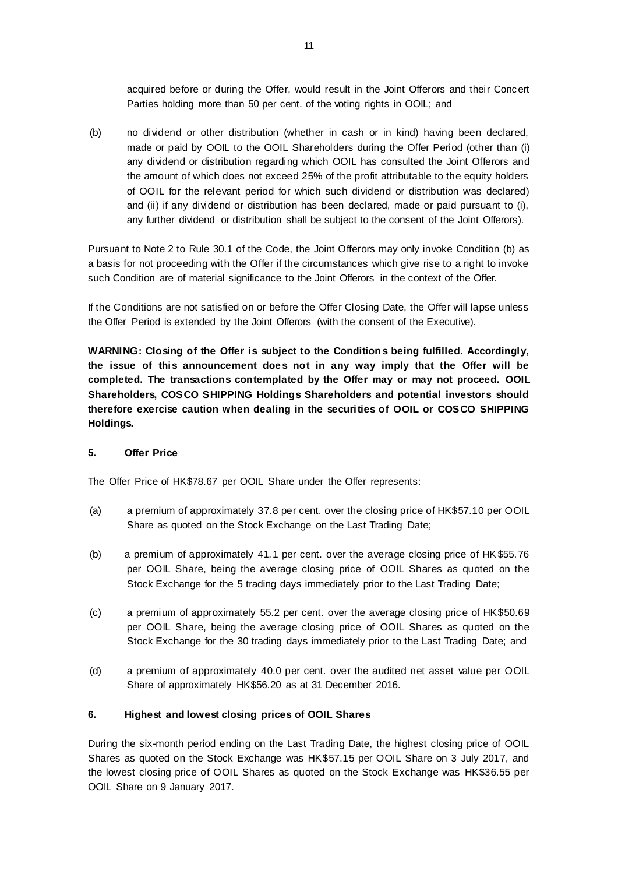acquired before or during the Offer, would result in the Joint Offerors and their Concert Parties holding more than 50 per cent. of the voting rights in OOIL; and

(b) no dividend or other distribution (whether in cash or in kind) having been declared, made or paid by OOIL to the OOIL Shareholders during the Offer Period (other than (i) any dividend or distribution regarding which OOIL has consulted the Joint Offerors and the amount of which does not exceed 25% of the profit attributable to the equity holders of OOIL for the relevant period for which such dividend or distribution was declared) and (ii) if any dividend or distribution has been declared, made or paid pursuant to (i), any further dividend or distribution shall be subject to the consent of the Joint Offerors).

Pursuant to Note 2 to Rule 30.1 of the Code, the Joint Offerors may only invoke Condition (b) as a basis for not proceeding with the Offer if the circumstances which give rise to a right to invoke such Condition are of material significance to the Joint Offerors in the context of the Offer.

If the Conditions are not satisfied on or before the Offer Closing Date, the Offer will lapse unless the Offer Period is extended by the Joint Offerors (with the consent of the Executive).

**WARNING: Closing of the Offer is subject to the Condition s being fulfilled. Accordingly, the issue of this announcement does not in any way imply that the Offer will be completed. The transactions contemplated by the Offer may or may not proceed. OOIL Shareholders, COSCO SHIPPING Holdings Shareholders and potential investors should therefore exercise caution when dealing in the securities of OOIL or COSCO SHIPPING Holdings.** 

### **5. Offer Price**

The Offer Price of HK\$78.67 per OOIL Share under the Offer represents:

- (a) a premium of approximately 37.8 per cent. over the closing price of HK\$57.10 per OOIL Share as quoted on the Stock Exchange on the Last Trading Date;
- (b) a premium of approximately 41.1 per cent. over the average closing price of HK\$55.76 per OOIL Share, being the average closing price of OOIL Shares as quoted on the Stock Exchange for the 5 trading days immediately prior to the Last Trading Date;
- (c) a premium of approximately 55.2 per cent. over the average closing price of HK\$50.69 per OOIL Share, being the average closing price of OOIL Shares as quoted on the Stock Exchange for the 30 trading days immediately prior to the Last Trading Date; and
- (d) a premium of approximately 40.0 per cent. over the audited net asset value per OOIL Share of approximately HK\$56.20 as at 31 December 2016.

### **6. Highest and lowest closing prices of OOIL Shares**

During the six-month period ending on the Last Trading Date, the highest closing price of OOIL Shares as quoted on the Stock Exchange was HK\$57.15 per OOIL Share on 3 July 2017, and the lowest closing price of OOIL Shares as quoted on the Stock Exchange was HK\$36.55 per OOIL Share on 9 January 2017.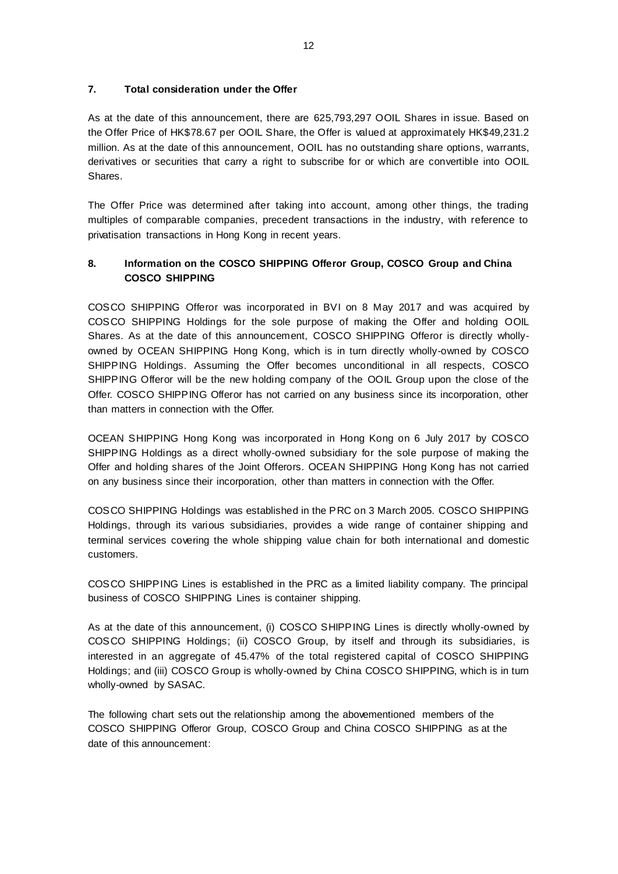## **7. Total consideration under the Offer**

As at the date of this announcement, there are 625,793,297 OOIL Shares in issue. Based on the Offer Price of HK\$78.67 per OOIL Share, the Offer is valued at approximately HK\$49,231.2 million. As at the date of this announcement, OOIL has no outstanding share options, warrants, derivatives or securities that carry a right to subscribe for or which are convertible into OOIL Shares.

The Offer Price was determined after taking into account, among other things, the trading multiples of comparable companies, precedent transactions in the industry, with reference to privatisation transactions in Hong Kong in recent years.

# **8. Information on the COSCO SHIPPING Offeror Group, COSCO Group and China COSCO SHIPPING**

COSCO SHIPPING Offeror was incorporated in BVI on 8 May 2017 and was acquired by COSCO SHIPPING Holdings for the sole purpose of making the Offer and holding OOIL Shares. As at the date of this announcement, COSCO SHIPPING Offeror is directly whollyowned by OCEAN SHIPPING Hong Kong, which is in turn directly wholly-owned by COSCO SHIPPING Holdings. Assuming the Offer becomes unconditional in all respects, COSCO SHIPPING Offeror will be the new holding company of the OOIL Group upon the close of the Offer. COSCO SHIPPING Offeror has not carried on any business since its incorporation, other than matters in connection with the Offer.

OCEAN SHIPPING Hong Kong was incorporated in Hong Kong on 6 July 2017 by COSCO SHIPPING Holdings as a direct wholly-owned subsidiary for the sole purpose of making the Offer and holding shares of the Joint Offerors. OCEAN SHIPPING Hong Kong has not carried on any business since their incorporation, other than matters in connection with the Offer.

COSCO SHIPPING Holdings was established in the PRC on 3 March 2005. COSCO SHIPPING Holdings, through its various subsidiaries, provides a wide range of container shipping and terminal services covering the whole shipping value chain for both international and domestic customers.

COSCO SHIPPING Lines is established in the PRC as a limited liability company. The principal business of COSCO SHIPPING Lines is container shipping.

As at the date of this announcement, (i) COSCO SHIPPING Lines is directly wholly-owned by COSCO SHIPPING Holdings; (ii) COSCO Group, by itself and through its subsidiaries, is interested in an aggregate of 45.47% of the total registered capital of COSCO SHIPPING Holdings; and (iii) COSCO Group is wholly-owned by China COSCO SHIPPING, which is in turn wholly-owned by SASAC.

The following chart sets out the relationship among the abovementioned members of the COSCO SHIPPING Offeror Group, COSCO Group and China COSCO SHIPPING as at the date of this announcement: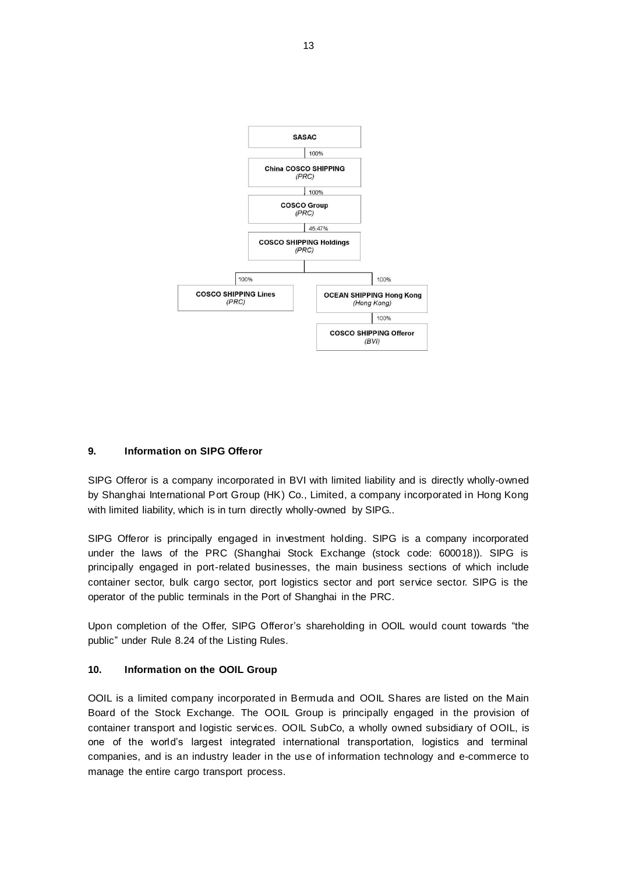

# **9. Information on SIPG Offeror**

SIPG Offeror is a company incorporated in BVI with limited liability and is directly wholly-owned by Shanghai International Port Group (HK) Co., Limited, a company incorporated in Hong Kong with limited liability, which is in turn directly wholly-owned by SIPG..

SIPG Offeror is principally engaged in investment holding. SIPG is a company incorporated under the laws of the PRC (Shanghai Stock Exchange (stock code: 600018)). SIPG is principally engaged in port-related businesses, the main business sections of which include container sector, bulk cargo sector, port logistics sector and port service sector. SIPG is the operator of the public terminals in the Port of Shanghai in the PRC.

Upon completion of the Offer, SIPG Offeror's shareholding in OOIL would count towards "the public" under Rule 8.24 of the Listing Rules.

### **10. Information on the OOIL Group**

OOIL is a limited company incorporated in Bermuda and OOIL Shares are listed on the Main Board of the Stock Exchange. The OOIL Group is principally engaged in the provision of container transport and logistic services. OOIL SubCo, a wholly owned subsidiary of OOIL, is one of the world's largest integrated international transportation, logistics and terminal companies, and is an industry leader in the use of information technology and e-commerce to manage the entire cargo transport process.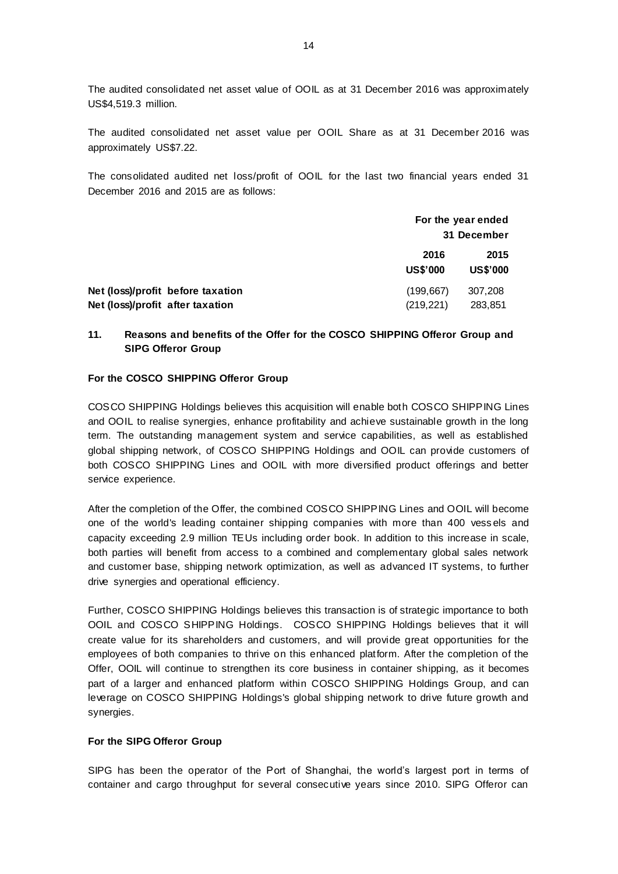The audited consolidated net asset value of OOIL as at 31 December 2016 was approximately US\$4,519.3 million.

The audited consolidated net asset value per OOIL Share as at 31 December 2016 was approximately US\$7.22.

The consolidated audited net loss/profit of OOIL for the last two financial years ended 31 December 2016 and 2015 are as follows:

|                                   | For the year ended<br>31 December |                         |
|-----------------------------------|-----------------------------------|-------------------------|
|                                   | 2016<br><b>US\$'000</b>           | 2015<br><b>US\$'000</b> |
| Net (loss)/profit before taxation | (199, 667)                        | 307,208                 |
| Net (loss)/profit after taxation  | (219, 221)                        | 283,851                 |

# **11. Reasons and benefits of the Offer for the COSCO SHIPPING Offeror Group and SIPG Offeror Group**

#### **For the COSCO SHIPPING Offeror Group**

COSCO SHIPPING Holdings believes this acquisition will enable both COSCO SHIPPING Lines and OOIL to realise synergies, enhance profitability and achieve sustainable growth in the long term. The outstanding management system and service capabilities, as well as established global shipping network, of COSCO SHIPPING Holdings and OOIL can provide customers of both COSCO SHIPPING Lines and OOIL with more diversified product offerings and better service experience.

After the completion of the Offer, the combined COSCO SHIPPING Lines and OOIL will become one of the world's leading container shipping companies with more than 400 vess els and capacity exceeding 2.9 million TEUs including order book. In addition to this increase in scale, both parties will benefit from access to a combined and complementary global sales network and customer base, shipping network optimization, as well as advanced IT systems, to further drive synergies and operational efficiency.

Further, COSCO SHIPPING Holdings believes this transaction is of strategic importance to both OOIL and COSCO SHIPPING Holdings. COSCO SHIPPING Holdings believes that it will create value for its shareholders and customers, and will provide great opportunities for the employees of both companies to thrive on this enhanced platform. After the completion of the Offer, OOIL will continue to strengthen its core business in container shipping, as it becomes part of a larger and enhanced platform within COSCO SHIPPING Holdings Group, and can leverage on COSCO SHIPPING Holdings's global shipping network to drive future growth and synergies.

#### **For the SIPG Offeror Group**

SIPG has been the operator of the Port of Shanghai, the world's largest port in terms of container and cargo throughput for several consecutive years since 2010. SIPG Offeror can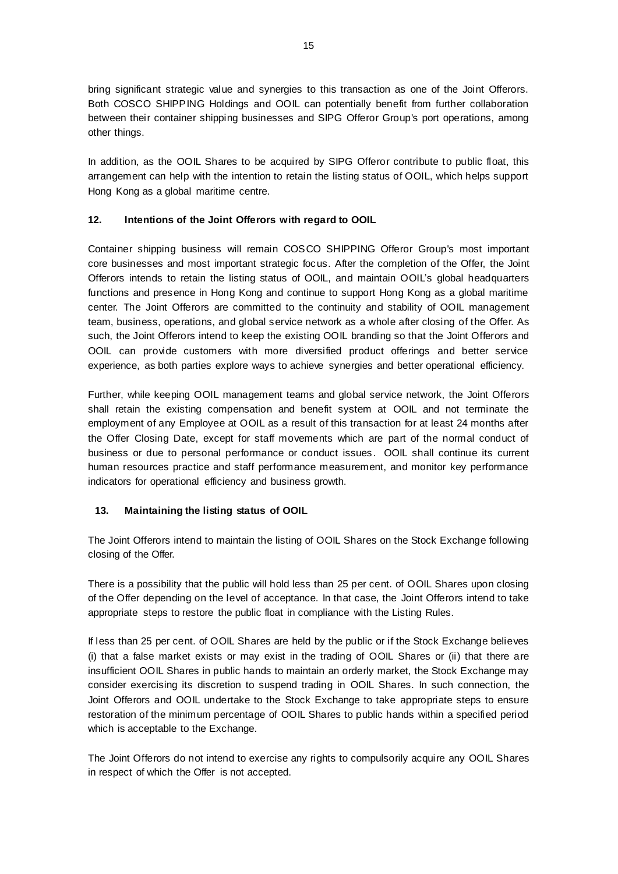bring significant strategic value and synergies to this transaction as one of the Joint Offerors. Both COSCO SHIPPING Holdings and OOIL can potentially benefit from further collaboration between their container shipping businesses and SIPG Offeror Group's port operations, among other things.

In addition, as the OOIL Shares to be acquired by SIPG Offeror contribute to public float, this arrangement can help with the intention to retain the listing status of OOIL, which helps support Hong Kong as a global maritime centre.

# **12. Intentions of the Joint Offerors with regard to OOIL**

Container shipping business will remain COSCO SHIPPING Offeror Group's most important core businesses and most important strategic focus. After the completion of the Offer, the Joint Offerors intends to retain the listing status of OOIL, and maintain OOIL's global headquarters functions and presence in Hong Kong and continue to support Hong Kong as a global maritime center. The Joint Offerors are committed to the continuity and stability of OOIL management team, business, operations, and global service network as a whole after closing of the Offer. As such, the Joint Offerors intend to keep the existing OOIL branding so that the Joint Offerors and OOIL can provide customers with more diversified product offerings and better service experience, as both parties explore ways to achieve synergies and better operational efficiency.

Further, while keeping OOIL management teams and global service network, the Joint Offerors shall retain the existing compensation and benefit system at OOIL and not terminate the employment of any Employee at OOIL as a result of this transaction for at least 24 months after the Offer Closing Date, except for staff movements which are part of the normal conduct of business or due to personal performance or conduct issues. OOIL shall continue its current human resources practice and staff performance measurement, and monitor key performance indicators for operational efficiency and business growth.

# **13. Maintaining the listing status of OOIL**

The Joint Offerors intend to maintain the listing of OOIL Shares on the Stock Exchange following closing of the Offer.

There is a possibility that the public will hold less than 25 per cent. of OOIL Shares upon closing of the Offer depending on the level of acceptance. In that case, the Joint Offerors intend to take appropriate steps to restore the public float in compliance with the Listing Rules.

If less than 25 per cent. of OOIL Shares are held by the public or if the Stock Exchange believes (i) that a false market exists or may exist in the trading of OOIL Shares or (ii) that there are insufficient OOIL Shares in public hands to maintain an orderly market, the Stock Exchange may consider exercising its discretion to suspend trading in OOIL Shares. In such connection, the Joint Offerors and OOIL undertake to the Stock Exchange to take appropriate steps to ensure restoration of the minimum percentage of OOIL Shares to public hands within a specified period which is acceptable to the Exchange.

The Joint Offerors do not intend to exercise any rights to compulsorily acquire any OOIL Shares in respect of which the Offer is not accepted.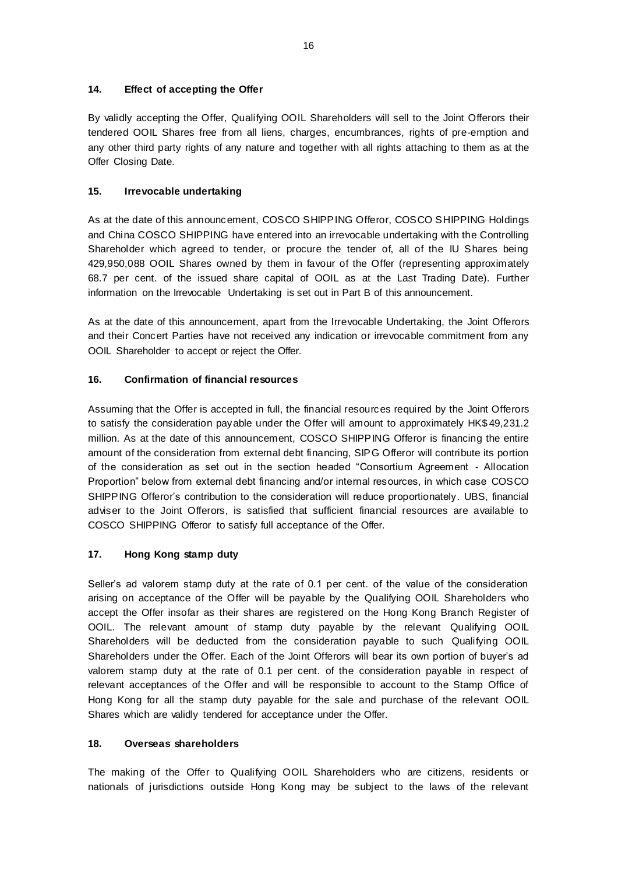# **14. Effect of accepting the Offer**

By validly accepting the Offer, Qualifying OOIL Shareholders will sell to the Joint Offerors their tendered OOIL Shares free from all liens, charges, encumbrances, rights of pre-emption and any other third party rights of any nature and together with all rights attaching to them as at the Offer Closing Date.

# **15. Irrevocable undertaking**

As at the date of this announcement, COSCO SHIPPING Offeror, COSCO SHIPPING Holdings and China COSCO SHIPPING have entered into an irrevocable undertaking with the Controlling Shareholder which agreed to tender, or procure the tender of, all of the IU Shares being 429,950,088 OOIL Shares owned by them in favour of the Offer (representing approximately 68.7 per cent. of the issued share capital of OOIL as at the Last Trading Date). Further information on the Irrevocable Undertaking is set out in Part B of this announcement.

As at the date of this announcement, apart from the Irrevocable Undertaking, the Joint Offerors and their Concert Parties have not received any indication or irrevocable commitment from any OOIL Shareholder to accept or reject the Offer.

# **16. Confirmation of financial resources**

Assuming that the Offer is accepted in full, the financial resources required by the Joint Offerors to satisfy the consideration payable under the Offer will amount to approximately HK\$ 49,231.2 million. As at the date of this announcement, COSCO SHIPPING Offeror is financing the entire amount of the consideration from external debt financing, SIPG Offeror will contribute its portion of the consideration as set out in the section headed "Consortium Agreement - Allocation Proportion" below from external debt financing and/or internal resources, in which case COSCO SHIPPING Offeror's contribution to the consideration will reduce proportionately. UBS, financial adviser to the Joint Offerors, is satisfied that sufficient financial resources are available to COSCO SHIPPING Offeror to satisfy full acceptance of the Offer.

# **17. Hong Kong stamp duty**

Seller's ad valorem stamp duty at the rate of 0.1 per cent. of the value of the consideration arising on acceptance of the Offer will be payable by the Qualifying OOIL Shareholders who accept the Offer insofar as their shares are registered on the Hong Kong Branch Register of OOIL. The relevant amount of stamp duty payable by the relevant Qualifying OOIL Shareholders will be deducted from the consideration payable to such Qualifying OOIL Shareholders under the Offer. Each of the Joint Offerors will bear its own portion of buyer's ad valorem stamp duty at the rate of 0.1 per cent. of the consideration payable in respect of relevant acceptances of the Offer and will be responsible to account to the Stamp Office of Hong Kong for all the stamp duty payable for the sale and purchase of the relevant OOIL Shares which are validly tendered for acceptance under the Offer.

# **18. Overseas shareholders**

The making of the Offer to Qualifying OOIL Shareholders who are citizens, residents or nationals of jurisdictions outside Hong Kong may be subject to the laws of the relevant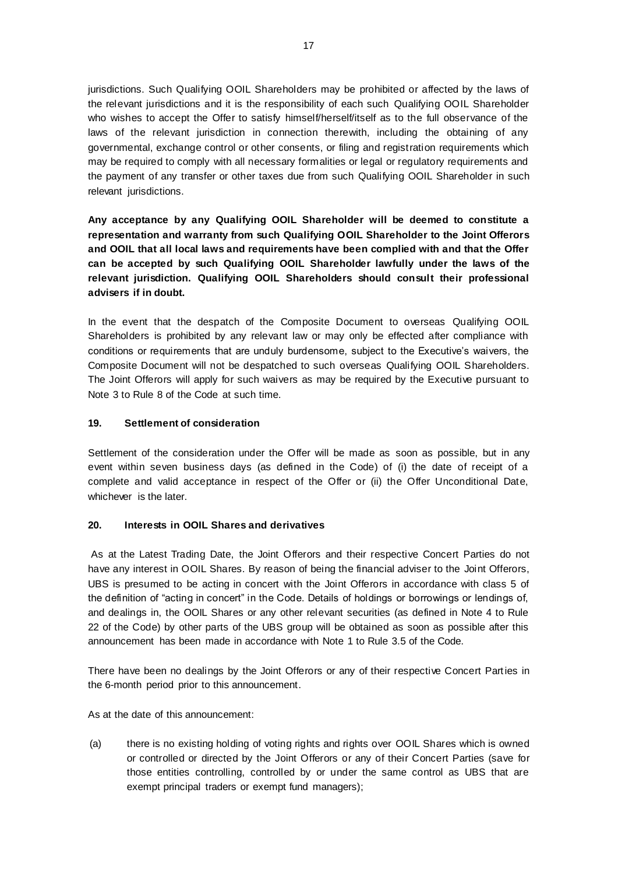jurisdictions. Such Qualifying OOIL Shareholders may be prohibited or affected by the laws of the relevant jurisdictions and it is the responsibility of each such Qualifying OOIL Shareholder who wishes to accept the Offer to satisfy himself/herself/itself as to the full observance of the laws of the relevant jurisdiction in connection therewith, including the obtaining of any governmental, exchange control or other consents, or filing and registration requirements which may be required to comply with all necessary formalities or legal or regulatory requirements and the payment of any transfer or other taxes due from such Qualifying OOIL Shareholder in such relevant jurisdictions.

**Any acceptance by any Qualifying OOIL Shareholder will be deemed to constitute a representation and warranty from such Qualifying OOIL Shareholder to the Joint Offerors and OOIL that all local laws and requirements have been complied with and that the Offer can be accepted by such Qualifying OOIL Shareholder lawfully under the laws of the relevant jurisdiction. Qualifying OOIL Shareholders should consult their professional advisers if in doubt.**

In the event that the despatch of the Composite Document to overseas Qualifying OOIL Shareholders is prohibited by any relevant law or may only be effected after compliance with conditions or requirements that are unduly burdensome, subject to the Executive's waivers, the Composite Document will not be despatched to such overseas Qualifying OOIL Shareholders. The Joint Offerors will apply for such waivers as may be required by the Executive pursuant to Note 3 to Rule 8 of the Code at such time.

# **19. Settlement of consideration**

Settlement of the consideration under the Offer will be made as soon as possible, but in any event within seven business days (as defined in the Code) of (i) the date of receipt of a complete and valid acceptance in respect of the Offer or (ii) the Offer Unconditional Date, whichever is the later.

### **20. Interests in OOIL Shares and derivatives**

As at the Latest Trading Date, the Joint Offerors and their respective Concert Parties do not have any interest in OOIL Shares. By reason of being the financial adviser to the Joint Offerors, UBS is presumed to be acting in concert with the Joint Offerors in accordance with class 5 of the definition of "acting in concert" in the Code. Details of holdings or borrowings or lendings of, and dealings in, the OOIL Shares or any other relevant securities (as defined in Note 4 to Rule 22 of the Code) by other parts of the UBS group will be obtained as soon as possible after this announcement has been made in accordance with Note 1 to Rule 3.5 of the Code.

There have been no dealings by the Joint Offerors or any of their respective Concert Parties in the 6-month period prior to this announcement.

As at the date of this announcement:

(a) there is no existing holding of voting rights and rights over OOIL Shares which is owned or controlled or directed by the Joint Offerors or any of their Concert Parties (save for those entities controlling, controlled by or under the same control as UBS that are exempt principal traders or exempt fund managers);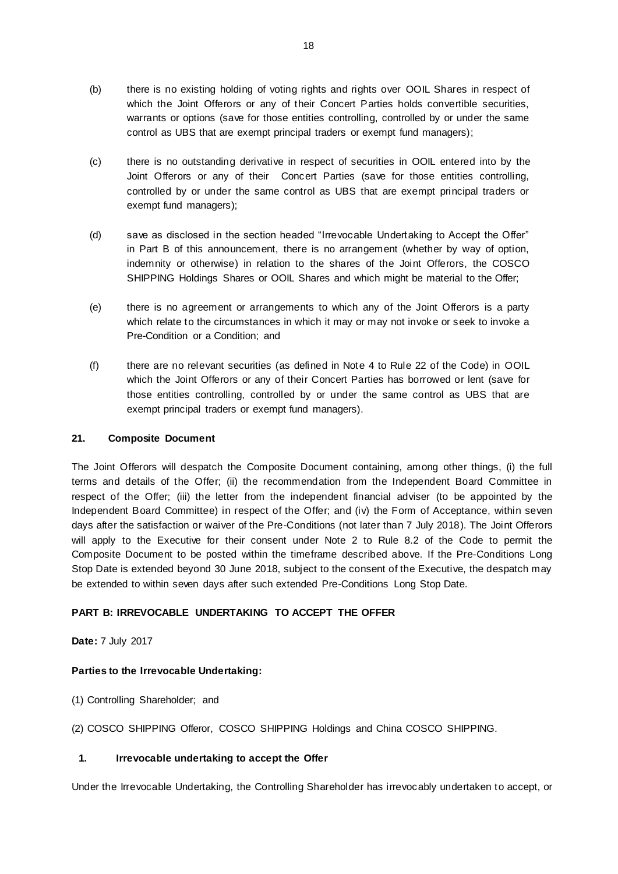- (b) there is no existing holding of voting rights and rights over OOIL Shares in respect of which the Joint Offerors or any of their Concert Parties holds convertible securities, warrants or options (save for those entities controlling, controlled by or under the same control as UBS that are exempt principal traders or exempt fund managers);
- (c) there is no outstanding derivative in respect of securities in OOIL entered into by the Joint Offerors or any of their Concert Parties (save for those entities controlling, controlled by or under the same control as UBS that are exempt principal traders or exempt fund managers);
- (d) save as disclosed in the section headed "Irrevocable Undertaking to Accept the Offer" in Part B of this announcement, there is no arrangement (whether by way of option, indemnity or otherwise) in relation to the shares of the Joint Offerors, the COSCO SHIPPING Holdings Shares or OOIL Shares and which might be material to the Offer;
- (e) there is no agreement or arrangements to which any of the Joint Offerors is a party which relate to the circumstances in which it may or may not invoke or seek to invoke a Pre-Condition or a Condition; and
- (f) there are no relevant securities (as defined in Note 4 to Rule 22 of the Code) in OOIL which the Joint Offerors or any of their Concert Parties has borrowed or lent (save for those entities controlling, controlled by or under the same control as UBS that are exempt principal traders or exempt fund managers).

# **21. Composite Document**

The Joint Offerors will despatch the Composite Document containing, among other things, (i) the full terms and details of the Offer; (ii) the recommendation from the Independent Board Committee in respect of the Offer; (iii) the letter from the independent financial adviser (to be appointed by the Independent Board Committee) in respect of the Offer; and (iv) the Form of Acceptance, within seven days after the satisfaction or waiver of the Pre-Conditions (not later than 7 July 2018). The Joint Offerors will apply to the Executive for their consent under Note 2 to Rule 8.2 of the Code to permit the Composite Document to be posted within the timeframe described above. If the Pre-Conditions Long Stop Date is extended beyond 30 June 2018, subject to the consent of the Executive, the despatch may be extended to within seven days after such extended Pre-Conditions Long Stop Date.

# **PART B: IRREVOCABLE UNDERTAKING TO ACCEPT THE OFFER**

**Date:** 7 July 2017

# **Parties to the Irrevocable Undertaking:**

- (1) Controlling Shareholder; and
- (2) COSCO SHIPPING Offeror, COSCO SHIPPING Holdings and China COSCO SHIPPING.

# **1. Irrevocable undertaking to accept the Offer**

Under the Irrevocable Undertaking, the Controlling Shareholder has irrevocably undertaken to accept, or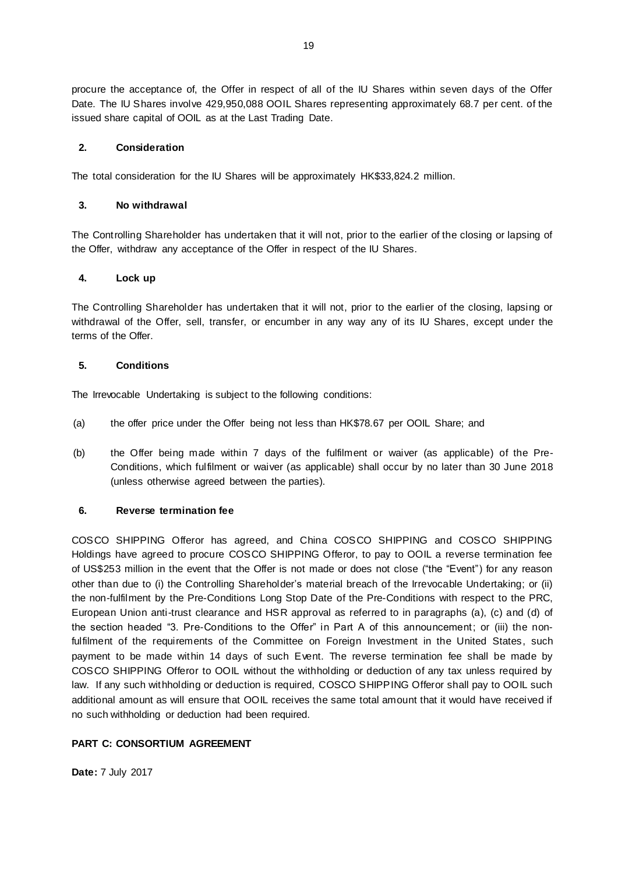procure the acceptance of, the Offer in respect of all of the IU Shares within seven days of the Offer Date. The IU Shares involve 429,950,088 OOIL Shares representing approximately 68.7 per cent. of the issued share capital of OOIL as at the Last Trading Date.

## **2. Consideration**

The total consideration for the IU Shares will be approximately HK\$33,824.2 million.

### **3. No withdrawal**

The Controlling Shareholder has undertaken that it will not, prior to the earlier of the closing or lapsing of the Offer, withdraw any acceptance of the Offer in respect of the IU Shares.

### **4. Lock up**

The Controlling Shareholder has undertaken that it will not, prior to the earlier of the closing, lapsing or withdrawal of the Offer, sell, transfer, or encumber in any way any of its IU Shares, except under the terms of the Offer.

### **5. Conditions**

The Irrevocable Undertaking is subject to the following conditions:

- (a) the offer price under the Offer being not less than HK\$78.67 per OOIL Share; and
- (b) the Offer being made within 7 days of the fulfilment or waiver (as applicable) of the Pre-Conditions, which fulfilment or waiver (as applicable) shall occur by no later than 30 June 2018 (unless otherwise agreed between the parties).

### **6. Reverse termination fee**

COSCO SHIPPING Offeror has agreed, and China COSCO SHIPPING and COSCO SHIPPING Holdings have agreed to procure COSCO SHIPPING Offeror, to pay to OOIL a reverse termination fee of US\$253 million in the event that the Offer is not made or does not close ("the "Event") for any reason other than due to (i) the Controlling Shareholder's material breach of the Irrevocable Undertaking; or (ii) the non-fulfilment by the Pre-Conditions Long Stop Date of the Pre-Conditions with respect to the PRC, European Union anti-trust clearance and HSR approval as referred to in paragraphs (a), (c) and (d) of the section headed "3. Pre-Conditions to the Offer" in Part A of this announcement; or (iii) the nonfulfilment of the requirements of the Committee on Foreign Investment in the United States, such payment to be made within 14 days of such Event. The reverse termination fee shall be made by COSCO SHIPPING Offeror to OOIL without the withholding or deduction of any tax unless required by law. If any such withholding or deduction is required, COSCO SHIPPING Offeror shall pay to OOIL such additional amount as will ensure that OOIL receives the same total amount that it would have received if no such withholding or deduction had been required.

# **PART C: CONSORTIUM AGREEMENT**

**Date:** 7 July 2017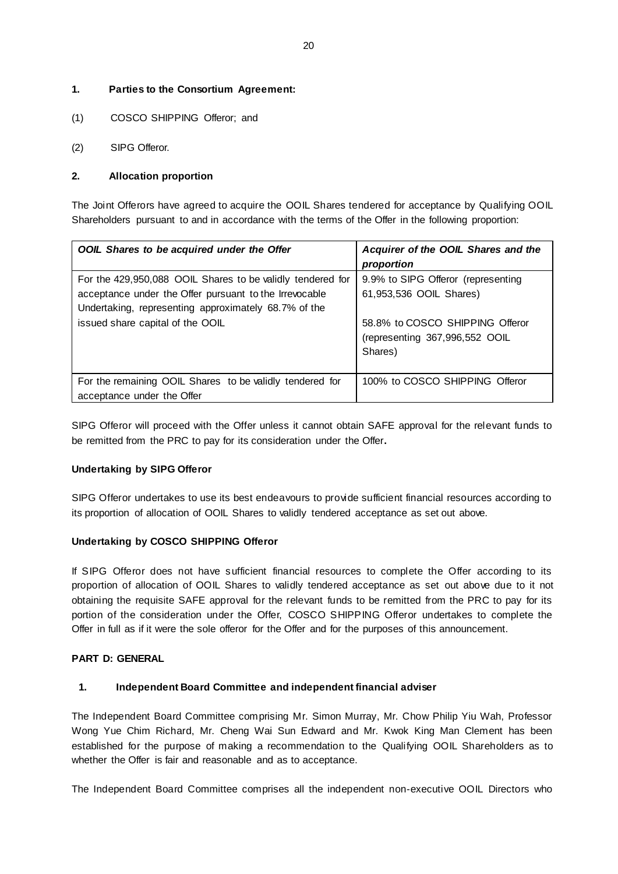# **1. Parties to the Consortium Agreement:**

- (1) COSCO SHIPPING Offeror; and
- (2) SIPG Offeror.

## **2. Allocation proportion**

The Joint Offerors have agreed to acquire the OOIL Shares tendered for acceptance by Qualifying OOIL Shareholders pursuant to and in accordance with the terms of the Offer in the following proportion:

| OOIL Shares to be acquired under the Offer                                                                                                                                                                       | Acquirer of the OOIL Shares and the<br>proportion                                                                                             |
|------------------------------------------------------------------------------------------------------------------------------------------------------------------------------------------------------------------|-----------------------------------------------------------------------------------------------------------------------------------------------|
| For the 429,950,088 OOIL Shares to be validly tendered for<br>acceptance under the Offer pursuant to the Irrevocable<br>Undertaking, representing approximately 68.7% of the<br>issued share capital of the OOIL | 9.9% to SIPG Offeror (representing<br>61,953,536 OOIL Shares)<br>58.8% to COSCO SHIPPING Offeror<br>(representing 367,996,552 OOIL<br>Shares) |
| For the remaining OOIL Shares to be validly tendered for<br>acceptance under the Offer                                                                                                                           | 100% to COSCO SHIPPING Offeror                                                                                                                |

SIPG Offeror will proceed with the Offer unless it cannot obtain SAFE approval for the relevant funds to be remitted from the PRC to pay for its consideration under the Offer**.**

### **Undertaking by SIPG Offeror**

SIPG Offeror undertakes to use its best endeavours to provide sufficient financial resources according to its proportion of allocation of OOIL Shares to validly tendered acceptance as set out above.

### **Undertaking by COSCO SHIPPING Offeror**

If SIPG Offeror does not have sufficient financial resources to complete the Offer according to its proportion of allocation of OOIL Shares to validly tendered acceptance as set out above due to it not obtaining the requisite SAFE approval for the relevant funds to be remitted from the PRC to pay for its portion of the consideration under the Offer, COSCO SHIPPING Offeror undertakes to complete the Offer in full as if it were the sole offeror for the Offer and for the purposes of this announcement.

### **PART D: GENERAL**

### **1. Independent Board Committee and independent financial adviser**

The Independent Board Committee comprising Mr. Simon Murray, Mr. Chow Philip Yiu Wah, Professor Wong Yue Chim Richard, Mr. Cheng Wai Sun Edward and Mr. Kwok King Man Clement has been established for the purpose of making a recommendation to the Qualifying OOIL Shareholders as to whether the Offer is fair and reasonable and as to acceptance.

The Independent Board Committee comprises all the independent non-executive OOIL Directors who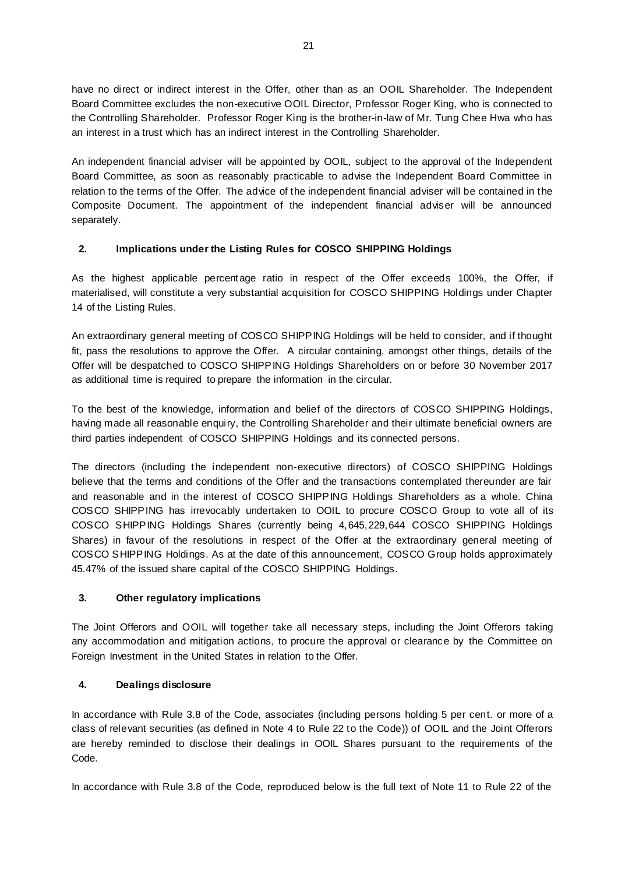have no direct or indirect interest in the Offer, other than as an OOIL Shareholder. The Independent Board Committee excludes the non-executive OOIL Director, Professor Roger King, who is connected to the Controlling Shareholder. Professor Roger King is the brother-in-law of Mr. Tung Chee Hwa who has an interest in a trust which has an indirect interest in the Controlling Shareholder.

An independent financial adviser will be appointed by OOIL, subject to the approval of the Independent Board Committee, as soon as reasonably practicable to advise the Independent Board Committee in relation to the terms of the Offer. The advice of the independent financial adviser will be contained in the Composite Document. The appointment of the independent financial adviser will be announced separately.

# **2. Implications under the Listing Rules for COSCO SHIPPING Holdings**

As the highest applicable percentage ratio in respect of the Offer exceeds 100%, the Offer, if materialised, will constitute a very substantial acquisition for COSCO SHIPPING Holdings under Chapter 14 of the Listing Rules.

An extraordinary general meeting of COSCO SHIPPING Holdings will be held to consider, and if thought fit, pass the resolutions to approve the Offer. A circular containing, amongst other things, details of the Offer will be despatched to COSCO SHIPPING Holdings Shareholders on or before 30 November 2017 as additional time is required to prepare the information in the circular.

To the best of the knowledge, information and belief of the directors of COSCO SHIPPING Holdings, having made all reasonable enquiry, the Controlling Shareholder and their ultimate beneficial owners are third parties independent of COSCO SHIPPING Holdings and its connected persons.

The directors (including the independent non-executive directors) of COSCO SHIPPING Holdings believe that the terms and conditions of the Offer and the transactions contemplated thereunder are fair and reasonable and in the interest of COSCO SHIPPING Holdings Shareholders as a whole. China COSCO SHIPPING has irrevocably undertaken to OOIL to procure COSCO Group to vote all of its COSCO SHIPPING Holdings Shares (currently being 4,645,229,644 COSCO SHIPPING Holdings Shares) in favour of the resolutions in respect of the Offer at the extraordinary general meeting of COSCO SHIPPING Holdings. As at the date of this announcement, COSCO Group holds approximately 45.47% of the issued share capital of the COSCO SHIPPING Holdings.

# **3. Other regulatory implications**

The Joint Offerors and OOIL will together take all necessary steps, including the Joint Offerors taking any accommodation and mitigation actions, to procure the approval or clearance by the Committee on Foreign Investment in the United States in relation to the Offer.

# **4. Dealings disclosure**

In accordance with Rule 3.8 of the Code, associates (including persons holding 5 per cent. or more of a class of relevant securities (as defined in Note 4 to Rule 22 to the Code)) of OOIL and the Joint Offerors are hereby reminded to disclose their dealings in OOIL Shares pursuant to the requirements of the Code.

In accordance with Rule 3.8 of the Code, reproduced below is the full text of Note 11 to Rule 22 of the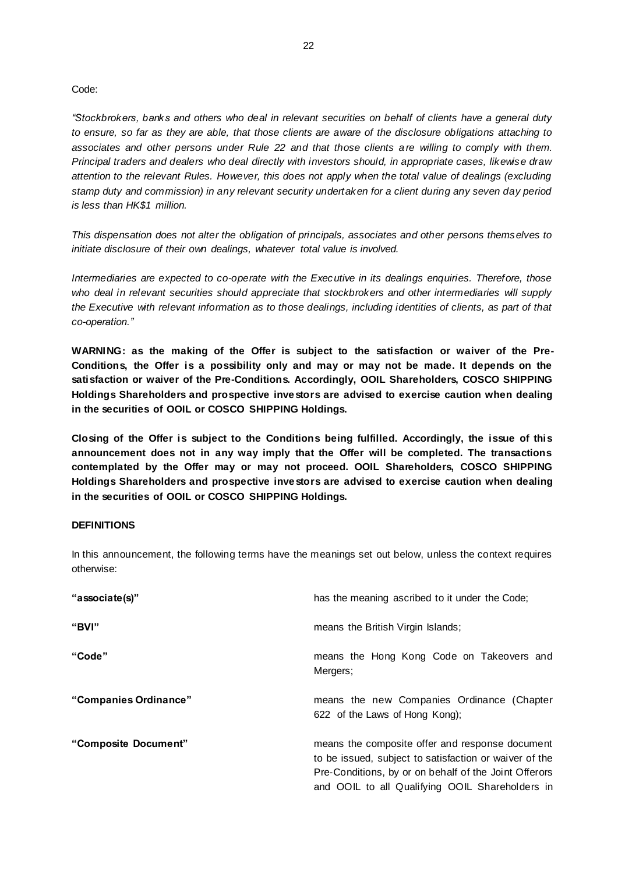#### Code:

*"Stockbrokers, banks and others who deal in relevant securities on behalf of clients have a general duty to ensure, so far as they are able, that those clients are aware of the disclosure obligations attaching to associates and other persons under Rule 22 and that those clients a re willing to comply with them. Principal traders and dealers who deal directly with investors should, in appropriate cases, likewise draw attention to the relevant Rules. However, this does not apply when the total value of dealings (excluding stamp duty and commission) in any relevant security undertaken for a client during any seven day period is less than HK\$1 million.*

*This dispensation does not alter the obligation of principals, associates and other persons themselves to initiate disclosure of their own dealings, whatever total value is involved.*

*Intermediaries are expected to co-operate with the Executive in its dealings enquiries. Therefore, those who deal in relevant securities should appreciate that stockbrokers and other intermediaries will supply the Executive with relevant information as to those dealings, including identities of clients, as part of that co-operation."*

**WARNING: as the making of the Offer is subject to the satisfaction or waiver of the Pre-Conditions, the Offer is a possibility only and may or may not be made. It depends on the satisfaction or waiver of the Pre-Conditions. Accordingly, OOIL Shareholders, COSCO SHIPPING Holdings Shareholders and prospective investors are advised to exercise caution when dealing in the securities of OOIL or COSCO SHIPPING Holdings.** 

**Closing of the Offer is subject to the Conditions being fulfilled. Accordingly, the issue of this announcement does not in any way imply that the Offer will be completed. The transactions contemplated by the Offer may or may not proceed. OOIL Shareholders, COSCO SHIPPING Holdings Shareholders and prospective investors are advised to exercise caution when dealing in the securities of OOIL or COSCO SHIPPING Holdings.**

#### **DEFINITIONS**

In this announcement, the following terms have the meanings set out below, unless the context requires otherwise:

| "associate(s)"        | has the meaning ascribed to it under the Code;                                                                                                                                                                        |
|-----------------------|-----------------------------------------------------------------------------------------------------------------------------------------------------------------------------------------------------------------------|
| "BVI"                 | means the British Virgin Islands;                                                                                                                                                                                     |
| "Code"                | means the Hong Kong Code on Takeovers and<br>Mergers;                                                                                                                                                                 |
| "Companies Ordinance" | means the new Companies Ordinance (Chapter<br>622 of the Laws of Hong Kong);                                                                                                                                          |
| "Composite Document"  | means the composite offer and response document<br>to be issued, subject to satisfaction or waiver of the<br>Pre-Conditions, by or on behalf of the Joint Offerors<br>and OOIL to all Qualifying OOIL Shareholders in |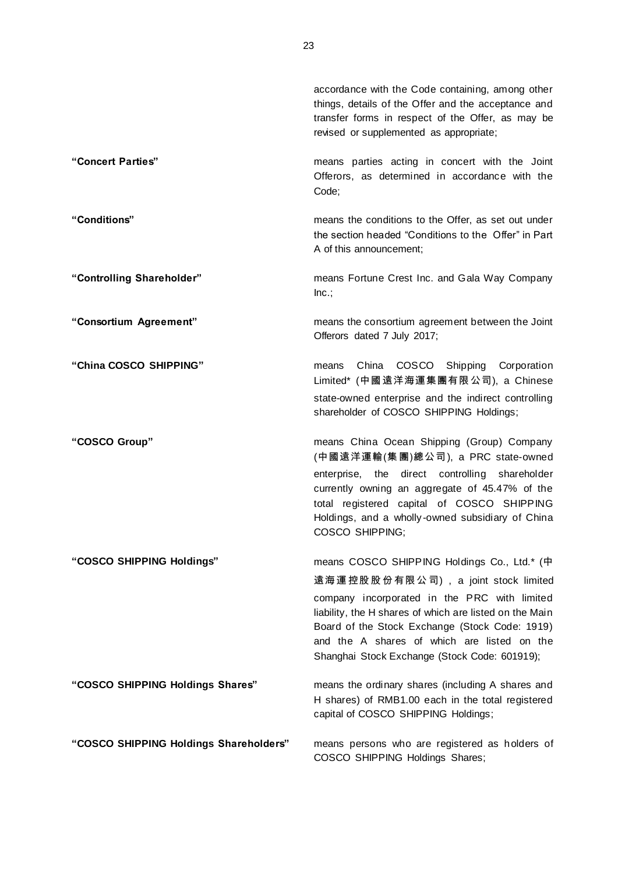|                                        | accordance with the Code containing, among other<br>things, details of the Offer and the acceptance and<br>transfer forms in respect of the Offer, as may be<br>revised or supplemented as appropriate;                                                   |
|----------------------------------------|-----------------------------------------------------------------------------------------------------------------------------------------------------------------------------------------------------------------------------------------------------------|
| "Concert Parties"                      | means parties acting in concert with the Joint<br>Offerors, as determined in accordance with the<br>Code;                                                                                                                                                 |
| "Conditions"                           | means the conditions to the Offer, as set out under<br>the section headed "Conditions to the Offer" in Part<br>A of this announcement;                                                                                                                    |
| "Controlling Shareholder"              | means Fortune Crest Inc. and Gala Way Company<br>Inc.;                                                                                                                                                                                                    |
| "Consortium Agreement"                 | means the consortium agreement between the Joint<br>Offerors dated 7 July 2017;                                                                                                                                                                           |
| "China COSCO SHIPPING"                 | <b>COSCO</b><br>China<br>Shipping<br>Corporation<br>means<br>Limited* (中國遠洋海運集團有限公司), a Chinese                                                                                                                                                           |
|                                        | state-owned enterprise and the indirect controlling<br>shareholder of COSCO SHIPPING Holdings;                                                                                                                                                            |
| "COSCO Group"                          | means China Ocean Shipping (Group) Company<br>(中國遠洋運輸(集團)總公司), a PRC state-owned                                                                                                                                                                          |
|                                        | enterprise, the direct controlling shareholder<br>currently owning an aggregate of 45.47% of the<br>total registered capital of COSCO SHIPPING<br>Holdings, and a wholly-owned subsidiary of China<br>COSCO SHIPPING;                                     |
| "COSCO SHIPPING Holdings"              | means COSCO SHIPPING Holdings Co., Ltd.* (中                                                                                                                                                                                                               |
|                                        | 遠海運控股股份有限公司), a joint stock limited                                                                                                                                                                                                                       |
|                                        | company incorporated in the PRC with limited<br>liability, the H shares of which are listed on the Main<br>Board of the Stock Exchange (Stock Code: 1919)<br>and the A shares of which are listed on the<br>Shanghai Stock Exchange (Stock Code: 601919); |
| "COSCO SHIPPING Holdings Shares"       | means the ordinary shares (including A shares and<br>H shares) of RMB1.00 each in the total registered<br>capital of COSCO SHIPPING Holdings;                                                                                                             |
| "COSCO SHIPPING Holdings Shareholders" | means persons who are registered as holders of<br>COSCO SHIPPING Holdings Shares;                                                                                                                                                                         |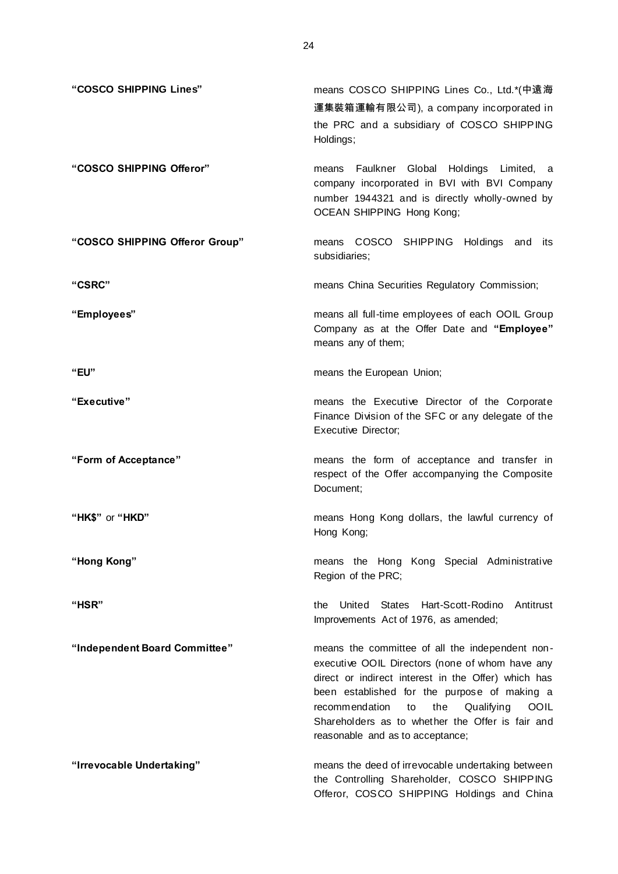| "COSCO SHIPPING Lines"         | means COSCO SHIPPING Lines Co., Ltd.*(中遠海<br>運集裝箱運輸有限公司), a company incorporated in<br>the PRC and a subsidiary of COSCO SHIPPING<br>Holdings;                                                                                                                                                                                                                |
|--------------------------------|---------------------------------------------------------------------------------------------------------------------------------------------------------------------------------------------------------------------------------------------------------------------------------------------------------------------------------------------------------------|
| "COSCO SHIPPING Offeror"       | means Faulkner Global Holdings Limited, a<br>company incorporated in BVI with BVI Company<br>number 1944321 and is directly wholly-owned by<br><b>OCEAN SHIPPING Hong Kong;</b>                                                                                                                                                                               |
| "COSCO SHIPPING Offeror Group" | COSCO SHIPPING Holdings and its<br>means<br>subsidiaries;                                                                                                                                                                                                                                                                                                     |
| "CSRC"                         | means China Securities Regulatory Commission;                                                                                                                                                                                                                                                                                                                 |
| "Employees"                    | means all full-time employees of each OOIL Group<br>Company as at the Offer Date and "Employee"<br>means any of them;                                                                                                                                                                                                                                         |
| "EU"                           | means the European Union;                                                                                                                                                                                                                                                                                                                                     |
| "Executive"                    | means the Executive Director of the Corporate<br>Finance Division of the SFC or any delegate of the<br><b>Executive Director;</b>                                                                                                                                                                                                                             |
| "Form of Acceptance"           | means the form of acceptance and transfer in<br>respect of the Offer accompanying the Composite<br>Document;                                                                                                                                                                                                                                                  |
| "HK\$" or "HKD"                | means Hong Kong dollars, the lawful currency of<br>Hong Kong;                                                                                                                                                                                                                                                                                                 |
| "Hong Kong"                    | means the Hong Kong Special Administrative<br>Region of the PRC;                                                                                                                                                                                                                                                                                              |
| "HSR"                          | United States<br>Hart-Scott-Rodino<br>Antitrust<br>the<br>Improvements Act of 1976, as amended;                                                                                                                                                                                                                                                               |
| "Independent Board Committee"  | means the committee of all the independent non-<br>executive OOIL Directors (none of whom have any<br>direct or indirect interest in the Offer) which has<br>been established for the purpose of making a<br>the<br>recommendation<br>Qualifying<br><b>OOIL</b><br>to<br>Shareholders as to whether the Offer is fair and<br>reasonable and as to acceptance; |
| "Irrevocable Undertaking"      | means the deed of irrevocable undertaking between<br>the Controlling Shareholder, COSCO SHIPPING<br>Offeror, COSCO SHIPPING Holdings and China                                                                                                                                                                                                                |

24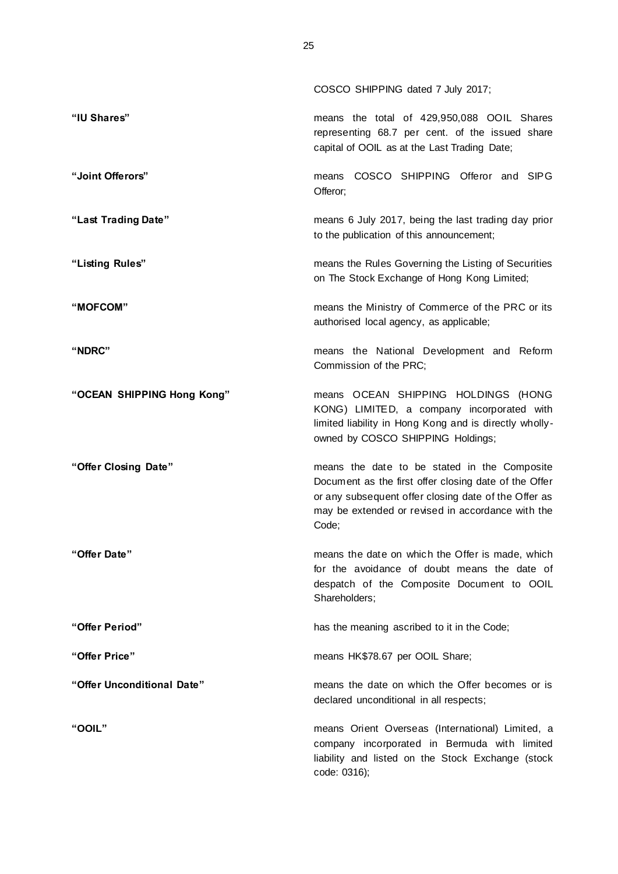|                            | COSCO SHIPPING dated 7 July 2017;                                                                                                                                                                                           |
|----------------------------|-----------------------------------------------------------------------------------------------------------------------------------------------------------------------------------------------------------------------------|
| "IU Shares"                | means the total of 429,950,088 OOIL Shares<br>representing 68.7 per cent. of the issued share<br>capital of OOIL as at the Last Trading Date;                                                                               |
| "Joint Offerors"           | COSCO SHIPPING Offeror and SIPG<br>means<br>Offeror;                                                                                                                                                                        |
| "Last Trading Date"        | means 6 July 2017, being the last trading day prior<br>to the publication of this announcement;                                                                                                                             |
| "Listing Rules"            | means the Rules Governing the Listing of Securities<br>on The Stock Exchange of Hong Kong Limited;                                                                                                                          |
| "MOFCOM"                   | means the Ministry of Commerce of the PRC or its<br>authorised local agency, as applicable;                                                                                                                                 |
| "NDRC"                     | means the National Development and Reform<br>Commission of the PRC;                                                                                                                                                         |
| "OCEAN SHIPPING Hong Kong" | means OCEAN SHIPPING HOLDINGS (HONG<br>KONG) LIMITED, a company incorporated with<br>limited liability in Hong Kong and is directly wholly-<br>owned by COSCO SHIPPING Holdings;                                            |
| "Offer Closing Date"       | means the date to be stated in the Composite<br>Document as the first offer closing date of the Offer<br>or any subsequent offer closing date of the Offer as<br>may be extended or revised in accordance with the<br>Code; |
| "Offer Date"               | means the date on which the Offer is made, which<br>for the avoidance of doubt means the date of<br>despatch of the Composite Document to OOIL<br>Shareholders;                                                             |
| "Offer Period"             | has the meaning ascribed to it in the Code;                                                                                                                                                                                 |
| "Offer Price"              | means HK\$78.67 per OOIL Share;                                                                                                                                                                                             |
| "Offer Unconditional Date" | means the date on which the Offer becomes or is<br>declared unconditional in all respects;                                                                                                                                  |
| <b>"OOIL"</b>              | means Orient Overseas (International) Limited, a<br>company incorporated in Bermuda with limited<br>liability and listed on the Stock Exchange (stock<br>code: 0316);                                                       |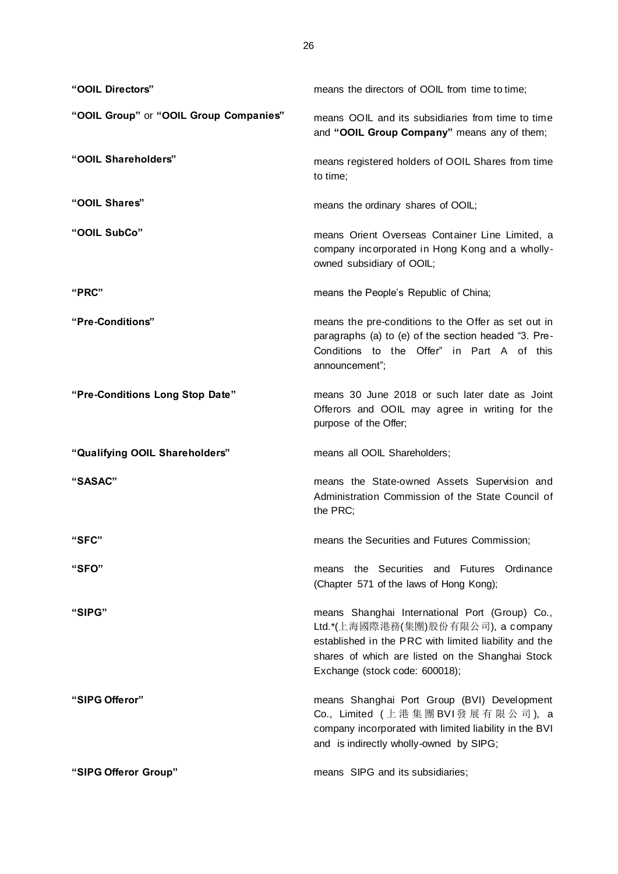| "OOIL Directors"                       | means the directors of OOIL from time to time;                                                                                                                                                                                      |
|----------------------------------------|-------------------------------------------------------------------------------------------------------------------------------------------------------------------------------------------------------------------------------------|
| "OOIL Group" or "OOIL Group Companies" | means OOIL and its subsidiaries from time to time<br>and "OOIL Group Company" means any of them;                                                                                                                                    |
| "OOIL Shareholders"                    | means registered holders of OOIL Shares from time<br>to time;                                                                                                                                                                       |
| "OOIL Shares"                          | means the ordinary shares of OOIL;                                                                                                                                                                                                  |
| "OOIL SubCo"                           | means Orient Overseas Container Line Limited, a<br>company incorporated in Hong Kong and a wholly-<br>owned subsidiary of OOIL;                                                                                                     |
| "PRC"                                  | means the People's Republic of China;                                                                                                                                                                                               |
| "Pre-Conditions"                       | means the pre-conditions to the Offer as set out in<br>paragraphs (a) to (e) of the section headed "3. Pre-<br>Conditions to the Offer" in Part A of this<br>announcement";                                                         |
| "Pre-Conditions Long Stop Date"        | means 30 June 2018 or such later date as Joint<br>Offerors and OOIL may agree in writing for the<br>purpose of the Offer;                                                                                                           |
| "Qualifying OOIL Shareholders"         | means all OOIL Shareholders;                                                                                                                                                                                                        |
| "SASAC"                                | means the State-owned Assets Supervision and<br>Administration Commission of the State Council of<br>the PRC;                                                                                                                       |
| "SFC"                                  | means the Securities and Futures Commission;                                                                                                                                                                                        |
| "SFO"                                  | the Securities and Futures<br>Ordinance<br>means<br>(Chapter 571 of the laws of Hong Kong);                                                                                                                                         |
| "SIPG"                                 | means Shanghai International Port (Group) Co.,<br>Ltd.*(上海國際港務(集團)股份有限公司), a company<br>established in the PRC with limited liability and the<br>shares of which are listed on the Shanghai Stock<br>Exchange (stock code: 600018); |
| "SIPG Offeror"                         | means Shanghai Port Group (BVI) Development<br>Co., Limited (上港集團 BVI發展有限公司), a<br>company incorporated with limited liability in the BVI<br>and is indirectly wholly-owned by SIPG;                                                |
| "SIPG Offeror Group"                   | means SIPG and its subsidiaries;                                                                                                                                                                                                    |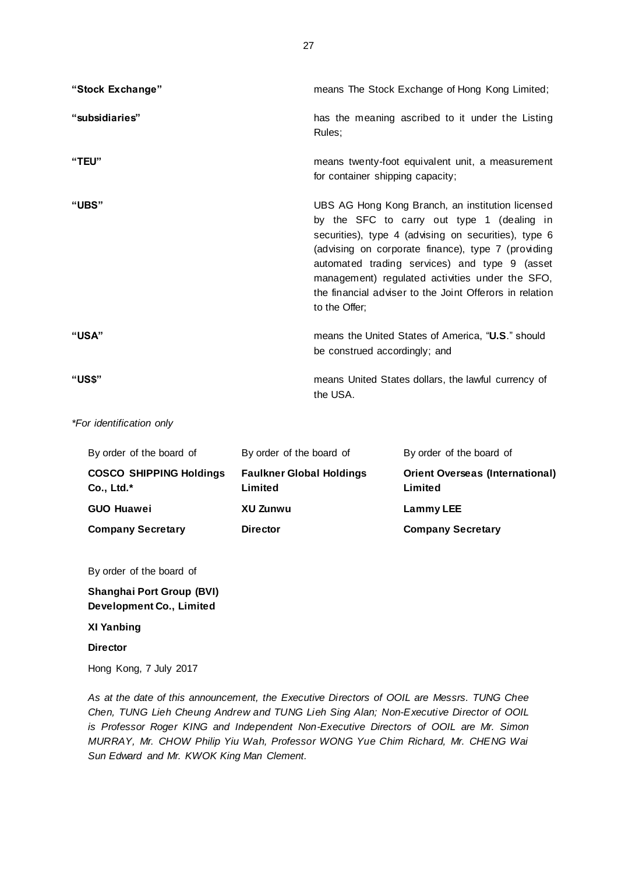| "Stock Exchange" | means The Stock Exchange of Hong Kong Limited;                                                                                                                                                                                                                                                                                                                                               |
|------------------|----------------------------------------------------------------------------------------------------------------------------------------------------------------------------------------------------------------------------------------------------------------------------------------------------------------------------------------------------------------------------------------------|
| "subsidiaries"   | has the meaning ascribed to it under the Listing<br>Rules;                                                                                                                                                                                                                                                                                                                                   |
| "TEU"            | means twenty-foot equivalent unit, a measurement<br>for container shipping capacity;                                                                                                                                                                                                                                                                                                         |
| "UBS"            | UBS AG Hong Kong Branch, an institution licensed<br>by the SFC to carry out type 1 (dealing in<br>securities), type 4 (advising on securities), type 6<br>(advising on corporate finance), type 7 (providing<br>automated trading services) and type 9 (asset<br>management) regulated activities under the SFO,<br>the financial adviser to the Joint Offerors in relation<br>to the Offer; |
| "USA"            | means the United States of America, "U.S." should<br>be construed accordingly; and                                                                                                                                                                                                                                                                                                           |
| "US\$"           | means United States dollars, the lawful currency of<br>the USA.                                                                                                                                                                                                                                                                                                                              |

*\*For identification only*

| By order of the board of                       | By order of the board of                   | By order of the board of                          |
|------------------------------------------------|--------------------------------------------|---------------------------------------------------|
| <b>COSCO SHIPPING Holdings</b><br>$Co., Ltd.*$ | <b>Faulkner Global Holdings</b><br>Limited | <b>Orient Overseas (International)</b><br>Limited |
| <b>GUO Huawei</b>                              | XU Zunwu                                   | Lammy LEE                                         |
| <b>Company Secretary</b>                       | <b>Director</b>                            | <b>Company Secretary</b>                          |

By order of the board of

**Shanghai Port Group (BVI) Development Co., Limited**

# **XI Yanbing**

**Director**

Hong Kong, 7 July 2017

*As at the date of this announcement, the Executive Directors of OOIL are Messrs. TUNG Chee Chen, TUNG Lieh Cheung Andrew and TUNG Lieh Sing Alan; Non-Executive Director of OOIL is Professor Roger KING and Independent Non-Executive Directors of OOIL are Mr. Simon MURRAY, Mr. CHOW Philip Yiu Wah, Professor WONG Yue Chim Richard, Mr. CHENG Wai Sun Edward and Mr. KWOK King Man Clement.*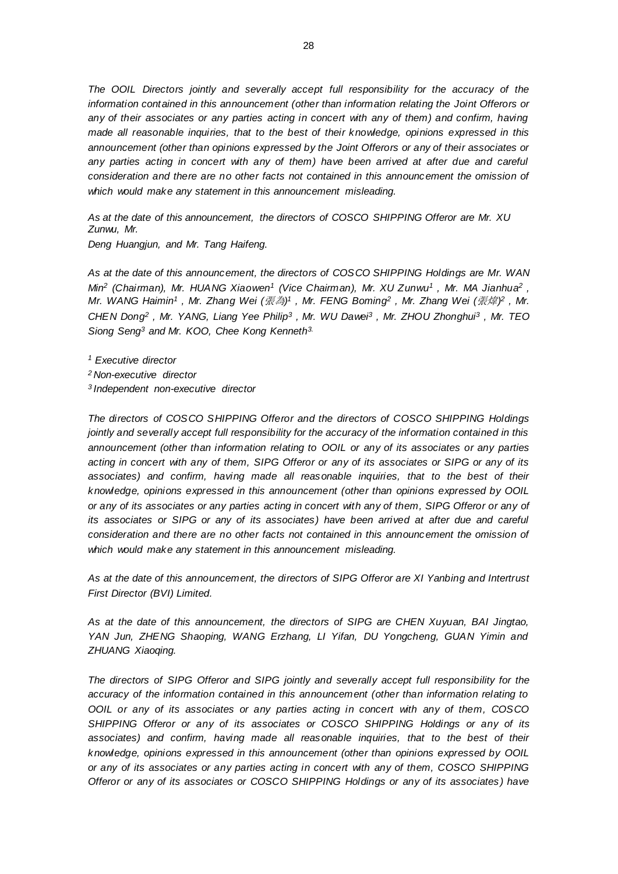*The OOIL Directors jointly and severally accept full responsibility for the accuracy of the information contained in this announcement (other than information relating the Joint Offerors or any of their associates or any parties acting in concert with any of them) and confirm, having made all reasonable inquiries, that to the best of their knowledge, opinions expressed in this announcement (other than opinions expressed by the Joint Offerors or any of their associates or*  any parties acting in concert with any of them) have been arrived at after due and careful *consideration and there are no other facts not contained in this announcement the omission of which would make any statement in this announcement misleading.*

*As at the date of this announcement, the directors of COSCO SHIPPING Offeror are Mr. XU Zunwu, Mr. Deng Huangjun, and Mr. Tang Haifeng.*

*As at the date of this announcement, the directors of COSCO SHIPPING Holdings are Mr. WAN Min<sup>2</sup> (Chairman), Mr. HUANG Xiaowen<sup>1</sup> (Vice Chairman), Mr. XU Zunwu<sup>1</sup> , Mr. MA Jianhua<sup>2</sup> , Mr. WANG Haimin<sup>1</sup>,Mr. Zhang Wei (張為)<sup>1</sup>,Mr. FENG Boming<sup>2</sup>,Mr. Zhang Wei (張煒)<sup>2</sup>,Mr. CHEN Dong<sup>2</sup> , Mr. YANG, Liang Yee Philip<sup>3</sup> , Mr. WU Dawei<sup>3</sup> , Mr. ZHOU Zhonghui<sup>3</sup> , Mr. TEO Siong Seng<sup>3</sup> and Mr. KOO, Chee Kong Kenneth3.*

*<sup>1</sup> Executive director* 

- *<sup>2</sup>Non-executive director*
- *<sup>3</sup>Independent non-executive director*

*The directors of COSCO SHIPPING Offeror and the directors of COSCO SHIPPING Holdings jointly and severally accept full responsibility for the accuracy of the information contained in this announcement (other than information relating to OOIL or any of its associates or any parties acting in concert with any of them, SIPG Offeror or any of its associates or SIPG or any of its associates) and confirm, having made all reasonable inquiries, that to the best of their knowledge, opinions expressed in this announcement (other than opinions expressed by OOIL or any of its associates or any parties acting in concert with any of them, SIPG Offeror or any of its associates or SIPG or any of its associates) have been arrived at after due and careful consideration and there are no other facts not contained in this announcement the omission of which would make any statement in this announcement misleading.*

*As at the date of this announcement, the directors of SIPG Offeror are XI Yanbing and Intertrust First Director (BVI) Limited.*

*As at the date of this announcement, the directors of SIPG are CHEN Xuyuan, BAI Jingtao, YAN Jun, ZHENG Shaoping, WANG Erzhang, LI Yifan, DU Yongcheng, GUAN Yimin and ZHUANG Xiaoqing.*

*The directors of SIPG Offeror and SIPG jointly and severally accept full responsibility for the accuracy of the information contained in this announcement (other than information relating to OOIL or any of its associates or any parties acting in concert with any of them, COSCO SHIPPING Offeror or any of its associates or COSCO SHIPPING Holdings or any of its associates) and confirm, having made all reasonable inquiries, that to the best of their knowledge, opinions expressed in this announcement (other than opinions expressed by OOIL or any of its associates or any parties acting in concert with any of them, COSCO SHIPPING Offeror or any of its associates or COSCO SHIPPING Holdings or any of its associates ) have*